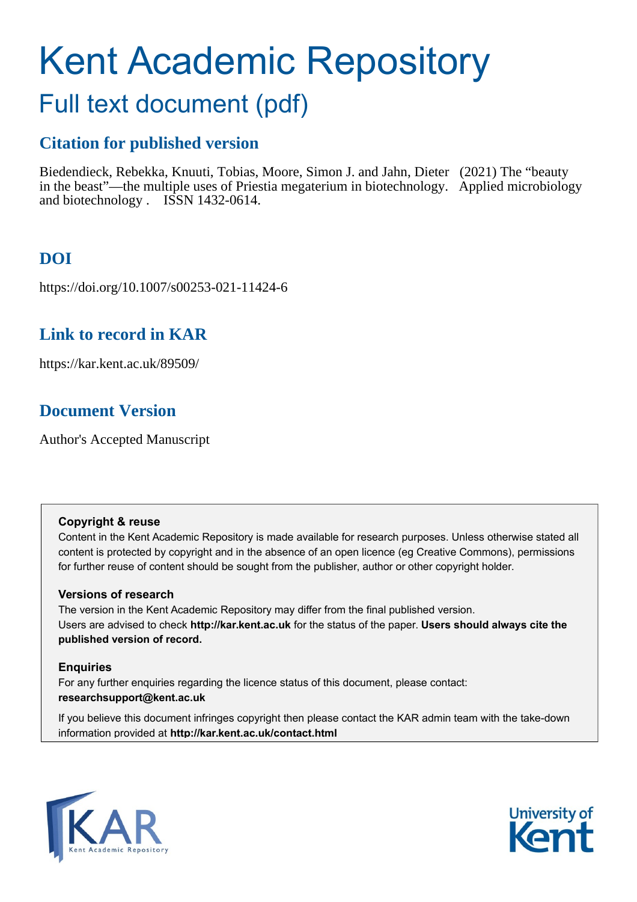# Kent Academic Repository

# Full text document (pdf)

## **Citation for published version**

Biedendieck, Rebekka, Knuuti, Tobias, Moore, Simon J. and Jahn, Dieter (2021) The "beauty in the beast"—the multiple uses of Priestia megaterium in biotechnology. Applied microbiology and biotechnology . ISSN 1432-0614.

## **DOI**

https://doi.org/10.1007/s00253-021-11424-6

## **Link to record in KAR**

https://kar.kent.ac.uk/89509/

## **Document Version**

Author's Accepted Manuscript

## **Copyright & reuse**

Content in the Kent Academic Repository is made available for research purposes. Unless otherwise stated all content is protected by copyright and in the absence of an open licence (eg Creative Commons), permissions for further reuse of content should be sought from the publisher, author or other copyright holder.

## **Versions of research**

The version in the Kent Academic Repository may differ from the final published version. Users are advised to check **http://kar.kent.ac.uk** for the status of the paper. **Users should always cite the published version of record.**

## **Enquiries**

For any further enquiries regarding the licence status of this document, please contact: **researchsupport@kent.ac.uk**

If you believe this document infringes copyright then please contact the KAR admin team with the take-down information provided at **http://kar.kent.ac.uk/contact.html**



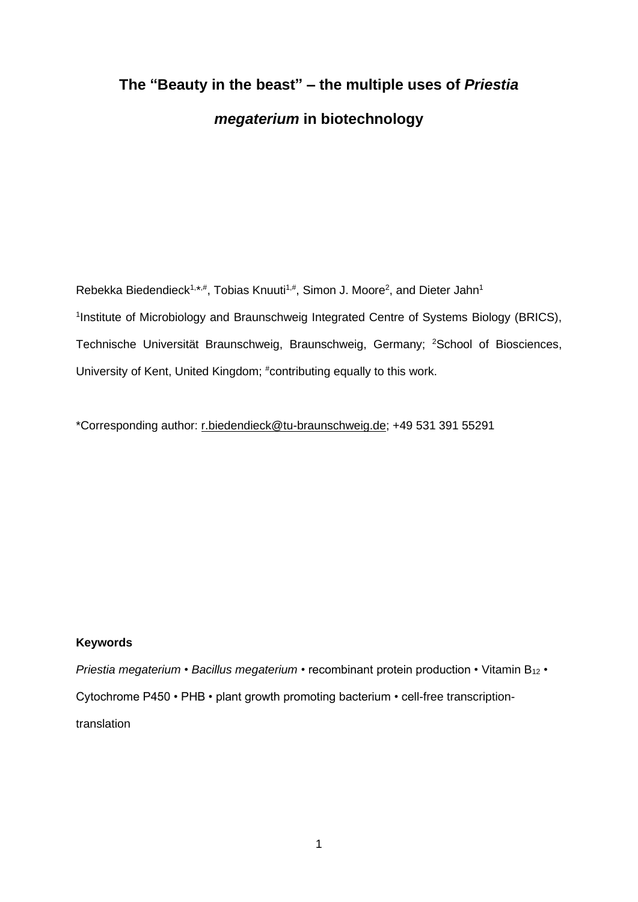## **The "Beauty in the beast" – the multiple uses of** *Priestia megaterium* **in biotechnology**

Rebekka Biedendieck<sup>1,\*,#</sup>, Tobias Knuuti<sup>1,#</sup>, Simon J. Moore<sup>2</sup>, and Dieter Jahn<sup>1</sup> <sup>1</sup>Institute of Microbiology and Braunschweig Integrated Centre of Systems Biology (BRICS), Technische Universität Braunschweig, Braunschweig, Germany; <sup>2</sup>School of Biosciences, University of Kent, United Kingdom; #contributing equally to this work.

\*Corresponding author: [r.biedendieck@tu-braunschweig.de;](mailto:r.biedendieck@tu-braunschweig.de) +49 531 391 55291

## **Keywords**

*Priestia megaterium* • *Bacillus megaterium* • recombinant protein production • Vitamin B<sup>12</sup> • Cytochrome P450 • PHB • plant growth promoting bacterium • cell-free transcriptiontranslation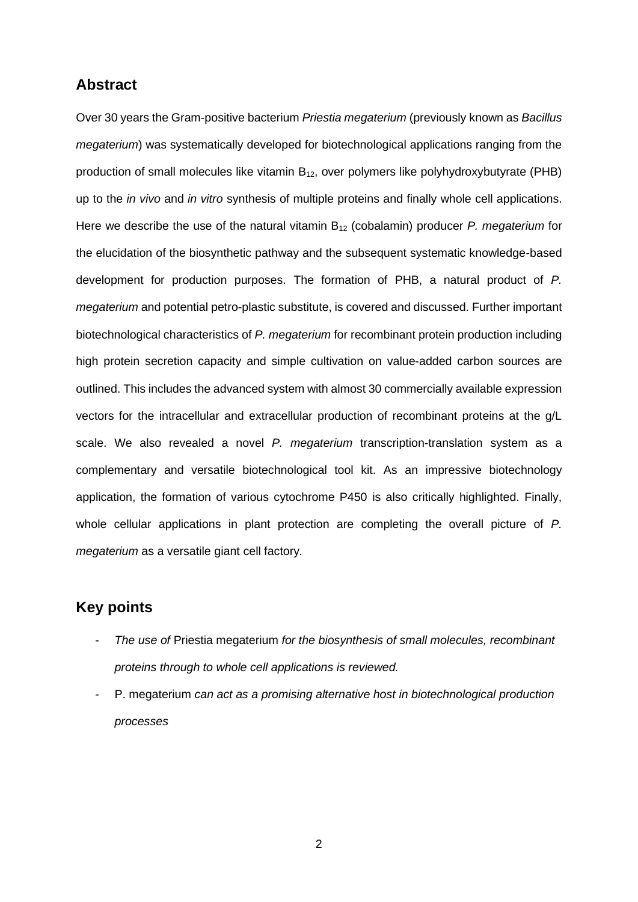## **Abstract**

Over 30 years the Gram-positive bacterium *Priestia megaterium* (previously known as *Bacillus megaterium*) was systematically developed for biotechnological applications ranging from the production of small molecules like vitamin  $B_{12}$ , over polymers like polyhydroxybutyrate (PHB) up to the *in vivo* and *in vitro* synthesis of multiple proteins and finally whole cell applications. Here we describe the use of the natural vitamin B<sup>12</sup> (cobalamin) producer *P. megaterium* for the elucidation of the biosynthetic pathway and the subsequent systematic knowledge-based development for production purposes. The formation of PHB, a natural product of *P. megaterium* and potential petro-plastic substitute, is covered and discussed. Further important biotechnological characteristics of *P. megaterium* for recombinant protein production including high protein secretion capacity and simple cultivation on value-added carbon sources are outlined. This includes the advanced system with almost 30 commercially available expression vectors for the intracellular and extracellular production of recombinant proteins at the g/L scale. We also revealed a novel *P. megaterium* transcription-translation system as a complementary and versatile biotechnological tool kit. As an impressive biotechnology application, the formation of various cytochrome P450 is also critically highlighted. Finally, whole cellular applications in plant protection are completing the overall picture of *P. megaterium* as a versatile giant cell factory*.*

## **Key points**

- *The use of* Priestia megaterium *for the biosynthesis of small molecules, recombinant proteins through to whole cell applications is reviewed.*
- P. megaterium *can act as a promising alternative host in biotechnological production processes*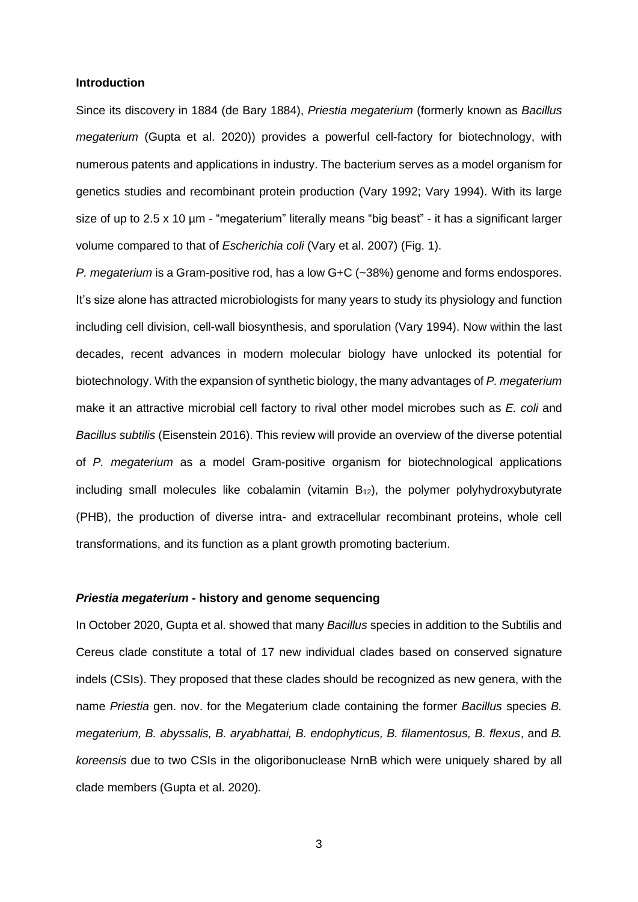#### **Introduction**

Since its discovery in 1884 (de Bary 1884), *Priestia megaterium* (formerly known as *Bacillus megaterium* (Gupta et al. 2020)) provides a powerful cell-factory for biotechnology, with numerous patents and applications in industry. The bacterium serves as a model organism for genetics studies and recombinant protein production (Vary 1992; Vary 1994). With its large size of up to 2.5 x 10 um - "megaterium" literally means "big beast" - it has a significant larger volume compared to that of *Escherichia coli* (Vary et al. 2007) (Fig. 1).

*P. megaterium* is a Gram-positive rod, has a low G+C (~38%) genome and forms endospores. It's size alone has attracted microbiologists for many years to study its physiology and function including cell division, cell-wall biosynthesis, and sporulation (Vary 1994). Now within the last decades, recent advances in modern molecular biology have unlocked its potential for biotechnology. With the expansion of synthetic biology, the many advantages of *P. megaterium* make it an attractive microbial cell factory to rival other model microbes such as *E. coli* and *Bacillus subtilis* (Eisenstein 2016). This review will provide an overview of the diverse potential of *P. megaterium* as a model Gram-positive organism for biotechnological applications including small molecules like cobalamin (vitamin  $B_{12}$ ), the polymer polyhydroxybutyrate (PHB), the production of diverse intra- and extracellular recombinant proteins, whole cell transformations, and its function as a plant growth promoting bacterium.

## *Priestia megaterium* **- history and genome sequencing**

In October 2020, Gupta et al. showed that many *Bacillus* species in addition to the Subtilis and Cereus clade constitute a total of 17 new individual clades based on conserved signature indels (CSIs). They proposed that these clades should be recognized as new genera, with the name *Priestia* gen. nov. for the Megaterium clade containing the former *Bacillus* species *B. megaterium, B. abyssalis, B. aryabhattai, B. endophyticus, B. filamentosus, B. flexus*, and *B. koreensis* due to two CSIs in the oligoribonuclease NrnB which were uniquely shared by all clade members (Gupta et al. 2020)*.*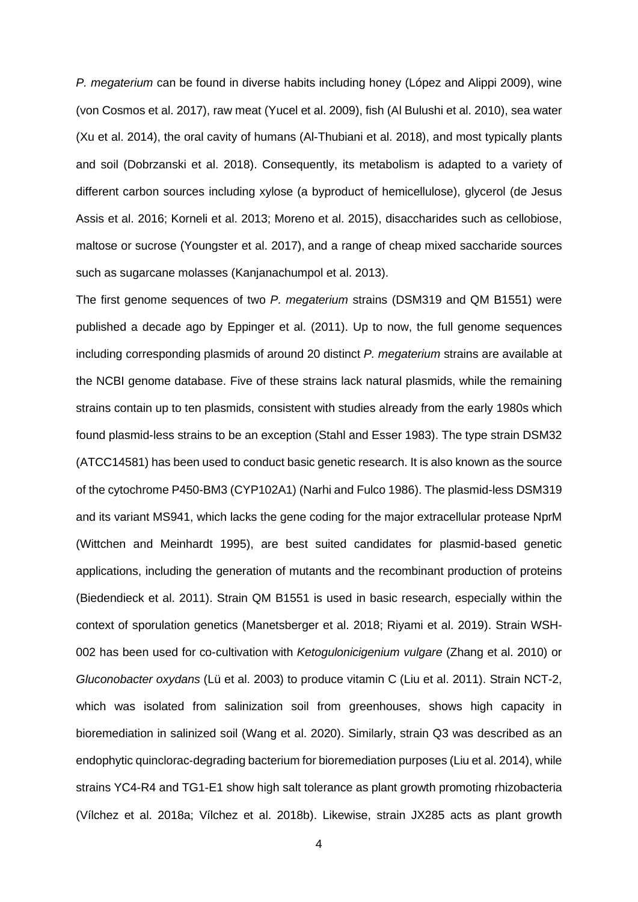*P. megaterium* can be found in diverse habits including honey (López and Alippi 2009), wine (von Cosmos et al. 2017), raw meat (Yucel et al. 2009), fish (Al Bulushi et al. 2010), sea water (Xu et al. 2014), the oral cavity of humans (Al-Thubiani et al. 2018), and most typically plants and soil (Dobrzanski et al. 2018). Consequently, its metabolism is adapted to a variety of different carbon sources including xylose (a byproduct of hemicellulose), glycerol (de Jesus Assis et al. 2016; Korneli et al. 2013; Moreno et al. 2015), disaccharides such as cellobiose, maltose or sucrose (Youngster et al. 2017), and a range of cheap mixed saccharide sources such as sugarcane molasses (Kanjanachumpol et al. 2013).

The first genome sequences of two *P. megaterium* strains (DSM319 and QM B1551) were published a decade ago by Eppinger et al. (2011). Up to now, the full genome sequences including corresponding plasmids of around 20 distinct *P. megaterium* strains are available at the NCBI genome database. Five of these strains lack natural plasmids, while the remaining strains contain up to ten plasmids, consistent with studies already from the early 1980s which found plasmid-less strains to be an exception (Stahl and Esser 1983). The type strain DSM32 (ATCC14581) has been used to conduct basic genetic research. It is also known as the source of the cytochrome P450-BM3 (CYP102A1) (Narhi and Fulco 1986). The plasmid-less DSM319 and its variant MS941, which lacks the gene coding for the major extracellular protease NprM (Wittchen and Meinhardt 1995), are best suited candidates for plasmid-based genetic applications, including the generation of mutants and the recombinant production of proteins (Biedendieck et al. 2011). Strain QM B1551 is used in basic research, especially within the context of sporulation genetics (Manetsberger et al. 2018; Riyami et al. 2019). Strain WSH-002 has been used for co-cultivation with *Ketogulonicigenium vulgare* (Zhang et al. 2010) or *Gluconobacter oxydans* (Lü et al. 2003) to produce vitamin C (Liu et al. 2011). Strain NCT-2, which was isolated from salinization soil from greenhouses, shows high capacity in bioremediation in salinized soil (Wang et al. 2020). Similarly, strain Q3 was described as an endophytic quinclorac-degrading bacterium for bioremediation purposes (Liu et al. 2014), while strains YC4-R4 and TG1-E1 show high salt tolerance as plant growth promoting rhizobacteria (Vílchez et al. 2018a; Vílchez et al. 2018b). Likewise, strain JX285 acts as plant growth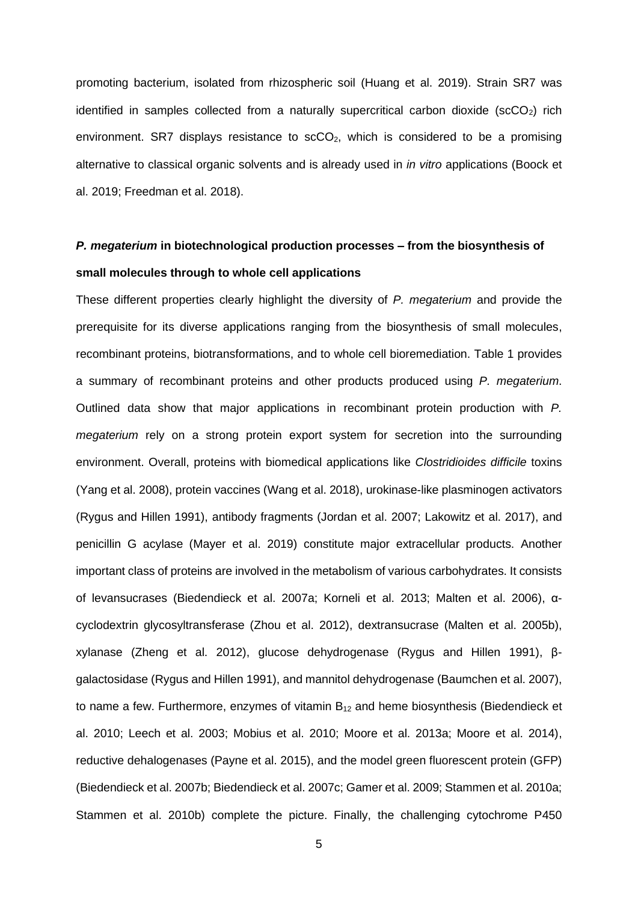promoting bacterium, isolated from rhizospheric soil (Huang et al. 2019). Strain SR7 was identified in samples collected from a naturally supercritical carbon dioxide ( $scCO<sub>2</sub>$ ) rich environment. SR7 displays resistance to  $scCo<sub>2</sub>$ , which is considered to be a promising alternative to classical organic solvents and is already used in *in vitro* applications (Boock et al. 2019; Freedman et al. 2018).

## *P. megaterium* **in biotechnological production processes – from the biosynthesis of small molecules through to whole cell applications**

These different properties clearly highlight the diversity of *P. megaterium* and provide the prerequisite for its diverse applications ranging from the biosynthesis of small molecules, recombinant proteins, biotransformations, and to whole cell bioremediation. Table 1 provides a summary of recombinant proteins and other products produced using *P. megaterium*. Outlined data show that major applications in recombinant protein production with *P. megaterium* rely on a strong protein export system for secretion into the surrounding environment. Overall, proteins with biomedical applications like *Clostridioides difficile* toxins (Yang et al. 2008), protein vaccines (Wang et al. 2018), urokinase-like plasminogen activators (Rygus and Hillen 1991), antibody fragments (Jordan et al. 2007; Lakowitz et al. 2017), and penicillin G acylase (Mayer et al. 2019) constitute major extracellular products. Another important class of proteins are involved in the metabolism of various carbohydrates. It consists of levansucrases (Biedendieck et al. 2007a; Korneli et al. 2013; Malten et al. 2006), αcyclodextrin glycosyltransferase (Zhou et al. 2012), dextransucrase (Malten et al. 2005b), xylanase (Zheng et al. 2012), glucose dehydrogenase (Rygus and Hillen 1991), βgalactosidase (Rygus and Hillen 1991), and mannitol dehydrogenase (Baumchen et al. 2007), to name a few. Furthermore, enzymes of vitamin  $B_{12}$  and heme biosynthesis (Biedendieck et al. 2010; Leech et al. 2003; Mobius et al. 2010; Moore et al. 2013a; Moore et al. 2014), reductive dehalogenases (Payne et al. 2015), and the model green fluorescent protein (GFP) (Biedendieck et al. 2007b; Biedendieck et al. 2007c; Gamer et al. 2009; Stammen et al. 2010a; Stammen et al. 2010b) complete the picture. Finally, the challenging cytochrome P450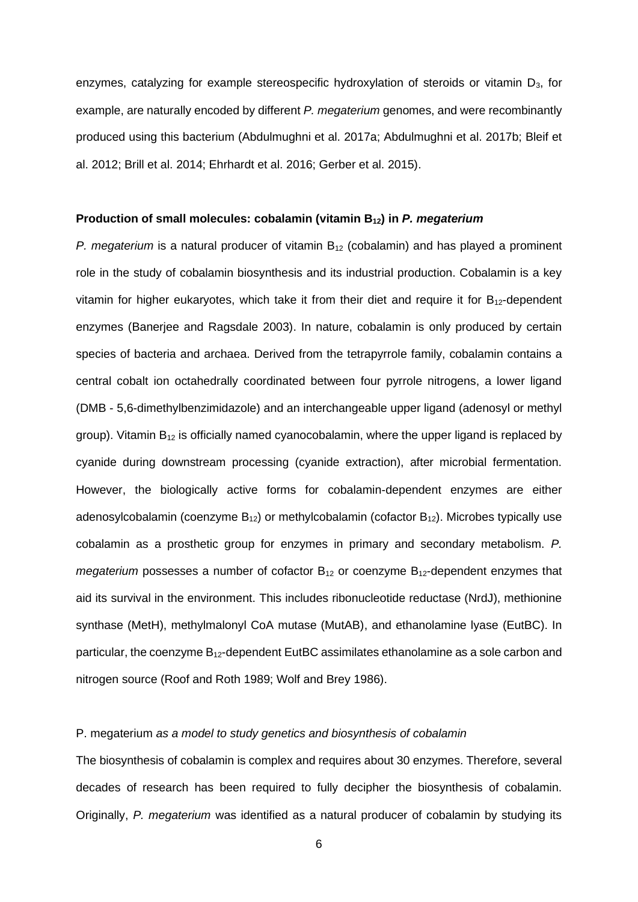enzymes, catalyzing for example stereospecific hydroxylation of steroids or vitamin  $D_3$ , for example, are naturally encoded by different *P. megaterium* genomes, and were recombinantly produced using this bacterium (Abdulmughni et al. 2017a; Abdulmughni et al. 2017b; Bleif et al. 2012; Brill et al. 2014; Ehrhardt et al. 2016; Gerber et al. 2015).

#### **Production of small molecules: cobalamin (vitamin B12) in** *P. megaterium*

*P. megaterium* is a natural producer of vitamin B<sub>12</sub> (cobalamin) and has played a prominent role in the study of cobalamin biosynthesis and its industrial production. Cobalamin is a key vitamin for higher eukaryotes, which take it from their diet and require it for  $B_{12}$ -dependent enzymes (Banerjee and Ragsdale 2003). In nature, cobalamin is only produced by certain species of bacteria and archaea. Derived from the tetrapyrrole family, cobalamin contains a central cobalt ion octahedrally coordinated between four pyrrole nitrogens, a lower ligand (DMB - 5,6-dimethylbenzimidazole) and an interchangeable upper ligand (adenosyl or methyl group). Vitamin  $B_{12}$  is officially named cyanocobalamin, where the upper ligand is replaced by cyanide during downstream processing (cyanide extraction), after microbial fermentation. However, the biologically active forms for cobalamin-dependent enzymes are either adenosylcobalamin (coenzyme  $B_{12}$ ) or methylcobalamin (cofactor  $B_{12}$ ). Microbes typically use cobalamin as a prosthetic group for enzymes in primary and secondary metabolism. *P. megaterium* possesses a number of cofactor  $B_{12}$  or coenzyme  $B_{12}$ -dependent enzymes that aid its survival in the environment. This includes ribonucleotide reductase (NrdJ), methionine synthase (MetH), methylmalonyl CoA mutase (MutAB), and ethanolamine lyase (EutBC). In particular, the coenzyme  $B_{12}$ -dependent EutBC assimilates ethanolamine as a sole carbon and nitrogen source (Roof and Roth 1989; Wolf and Brey 1986).

### P. megaterium *as a model to study genetics and biosynthesis of cobalamin*

The biosynthesis of cobalamin is complex and requires about 30 enzymes. Therefore, several decades of research has been required to fully decipher the biosynthesis of cobalamin. Originally, *P. megaterium* was identified as a natural producer of cobalamin by studying its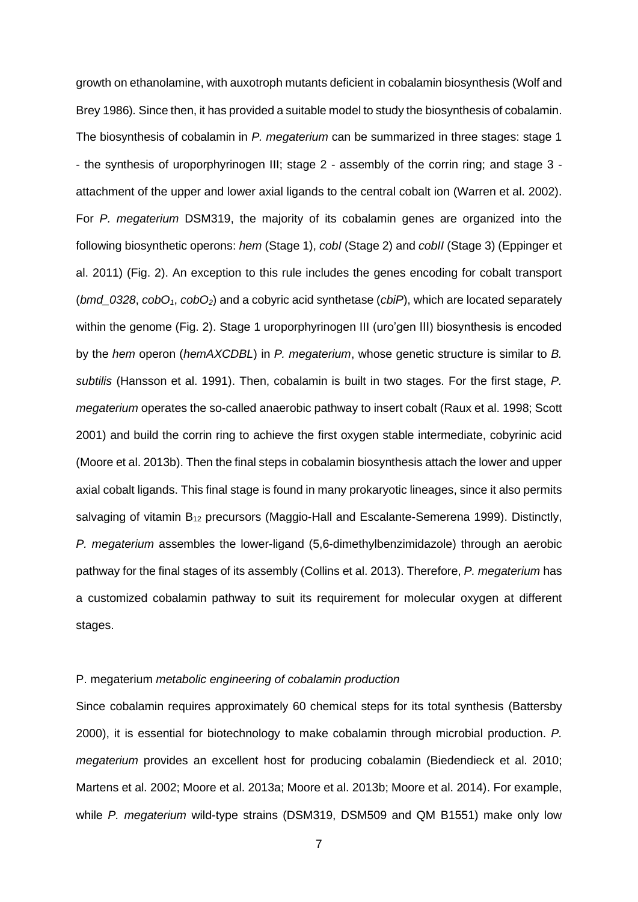growth on ethanolamine, with auxotroph mutants deficient in cobalamin biosynthesis (Wolf and Brey 1986)*.* Since then, it has provided a suitable model to study the biosynthesis of cobalamin. The biosynthesis of cobalamin in *P. megaterium* can be summarized in three stages: stage 1 - the synthesis of uroporphyrinogen III; stage 2 - assembly of the corrin ring; and stage 3 attachment of the upper and lower axial ligands to the central cobalt ion (Warren et al. 2002). For *P. megaterium* DSM319, the majority of its cobalamin genes are organized into the following biosynthetic operons: *hem* (Stage 1), *cobI* (Stage 2) and *cobII* (Stage 3) (Eppinger et al. 2011) (Fig. 2). An exception to this rule includes the genes encoding for cobalt transport (*bmd\_0328*, *cobO1*, *cobO2*) and a cobyric acid synthetase (*cbiP*), which are located separately within the genome (Fig. 2). Stage 1 uroporphyrinogen III (uro'gen III) biosynthesis is encoded by the *hem* operon (*hemAXCDBL*) in *P. megaterium*, whose genetic structure is similar to *B. subtilis* (Hansson et al. 1991). Then, cobalamin is built in two stages. For the first stage, *P. megaterium* operates the so-called anaerobic pathway to insert cobalt (Raux et al. 1998; Scott 2001) and build the corrin ring to achieve the first oxygen stable intermediate, cobyrinic acid (Moore et al. 2013b). Then the final steps in cobalamin biosynthesis attach the lower and upper axial cobalt ligands. This final stage is found in many prokaryotic lineages, since it also permits salvaging of vitamin  $B_{12}$  precursors (Maggio-Hall and Escalante-Semerena 1999). Distinctly, *P. megaterium* assembles the lower-ligand (5,6-dimethylbenzimidazole) through an aerobic pathway for the final stages of its assembly (Collins et al. 2013). Therefore, *P. megaterium* has a customized cobalamin pathway to suit its requirement for molecular oxygen at different stages.

## P. megaterium *metabolic engineering of cobalamin production*

Since cobalamin requires approximately 60 chemical steps for its total synthesis (Battersby 2000), it is essential for biotechnology to make cobalamin through microbial production. *P. megaterium* provides an excellent host for producing cobalamin (Biedendieck et al. 2010; Martens et al. 2002; Moore et al. 2013a; Moore et al. 2013b; Moore et al. 2014). For example, while *P. megaterium* wild-type strains (DSM319, DSM509 and QM B1551) make only low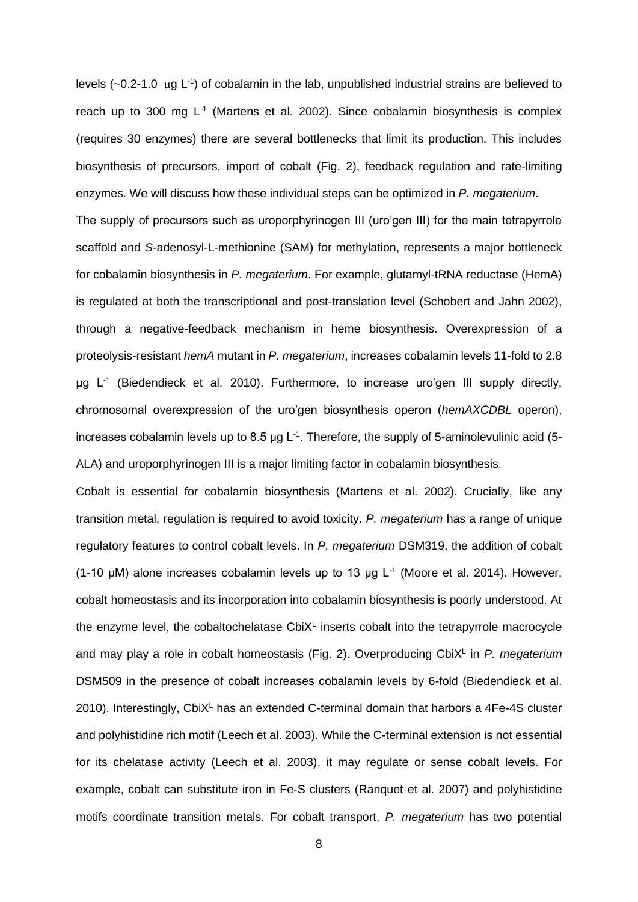levels ( $\sim$ 0.2-1.0 µg L<sup>-1</sup>) of cobalamin in the lab, unpublished industrial strains are believed to reach up to 300 mg  $L<sup>-1</sup>$  (Martens et al. 2002). Since cobalamin biosynthesis is complex (requires 30 enzymes) there are several bottlenecks that limit its production. This includes biosynthesis of precursors, import of cobalt (Fig. 2), feedback regulation and rate-limiting enzymes. We will discuss how these individual steps can be optimized in *P. megaterium*. The supply of precursors such as uroporphyrinogen III (uro'gen III) for the main tetrapyrrole scaffold and *S*-adenosyl-L-methionine (SAM) for methylation, represents a major bottleneck for cobalamin biosynthesis in *P. megaterium*. For example, glutamyl-tRNA reductase (HemA) is regulated at both the transcriptional and post-translation level (Schobert and Jahn 2002), through a negative-feedback mechanism in heme biosynthesis. Overexpression of a proteolysis-resistant *hemA* mutant in *P. megaterium*, increases cobalamin levels 11-fold to 2.8 μg L<sup>-1</sup> (Biedendieck et al. 2010). Furthermore, to increase uro'gen III supply directly, chromosomal overexpression of the uro'gen biosynthesis operon (*hemAXCDBL* operon), increases cobalamin levels up to 8.5 µg L<sup>-1</sup>. Therefore, the supply of 5-aminolevulinic acid (5-ALA) and uroporphyrinogen III is a major limiting factor in cobalamin biosynthesis.

Cobalt is essential for cobalamin biosynthesis (Martens et al. 2002). Crucially, like any transition metal, regulation is required to avoid toxicity. *P. megaterium* has a range of unique regulatory features to control cobalt levels. In *P. megaterium* DSM319, the addition of cobalt (1-10  $\mu$ M) alone increases cobalamin levels up to 13  $\mu$ g L<sup>-1</sup> (Moore et al. 2014). However, cobalt homeostasis and its incorporation into cobalamin biosynthesis is poorly understood. At the enzyme level, the cobaltochelatase  $Cb$ i $X<sup>L</sup>$  inserts cobalt into the tetrapyrrole macrocycle and may play a role in cobalt homeostasis (Fig. 2). Overproducing CbiX<sup>L</sup> in P. megaterium DSM509 in the presence of cobalt increases cobalamin levels by 6-fold (Biedendieck et al. 2010). Interestingly,  $CbiX<sup>L</sup>$  has an extended C-terminal domain that harbors a 4Fe-4S cluster and polyhistidine rich motif (Leech et al. 2003). While the C-terminal extension is not essential for its chelatase activity (Leech et al. 2003), it may regulate or sense cobalt levels. For example, cobalt can substitute iron in Fe-S clusters (Ranquet et al. 2007) and polyhistidine motifs coordinate transition metals. For cobalt transport, *P. megaterium* has two potential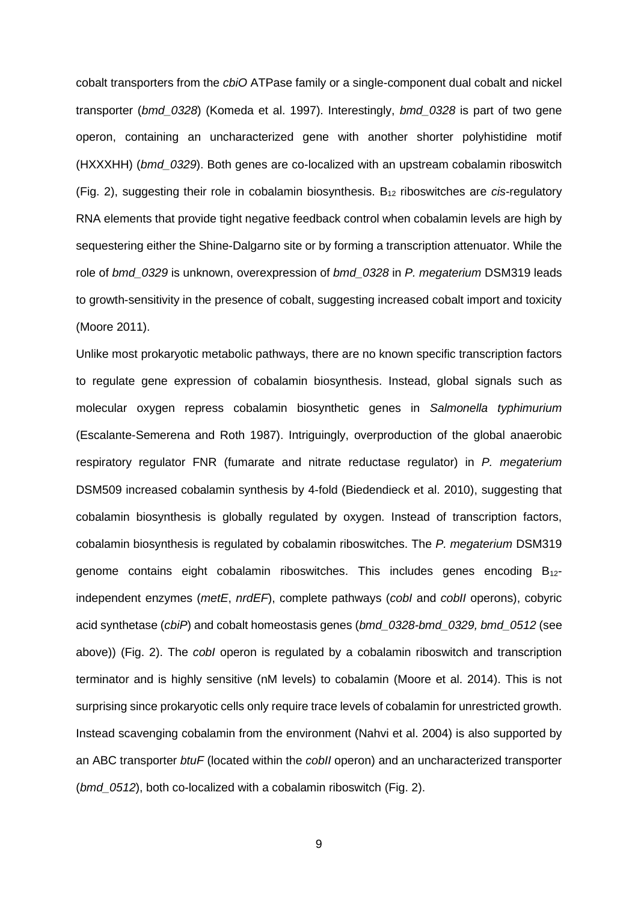cobalt transporters from the *cbiO* ATPase family or a single-component dual cobalt and nickel transporter (*bmd\_0328*) (Komeda et al. 1997). Interestingly, *bmd\_0328* is part of two gene operon, containing an uncharacterized gene with another shorter polyhistidine motif (HXXXHH) (*bmd\_0329*). Both genes are co-localized with an upstream cobalamin riboswitch (Fig. 2), suggesting their role in cobalamin biosynthesis. B<sup>12</sup> riboswitches are *cis*-regulatory RNA elements that provide tight negative feedback control when cobalamin levels are high by sequestering either the Shine-Dalgarno site or by forming a transcription attenuator. While the role of *bmd\_0329* is unknown, overexpression of *bmd\_0328* in *P. megaterium* DSM319 leads to growth-sensitivity in the presence of cobalt, suggesting increased cobalt import and toxicity (Moore 2011).

Unlike most prokaryotic metabolic pathways, there are no known specific transcription factors to regulate gene expression of cobalamin biosynthesis. Instead, global signals such as molecular oxygen repress cobalamin biosynthetic genes in *Salmonella typhimurium*  (Escalante-Semerena and Roth 1987). Intriguingly, overproduction of the global anaerobic respiratory regulator FNR (fumarate and nitrate reductase regulator) in *P. megaterium* DSM509 increased cobalamin synthesis by 4-fold (Biedendieck et al. 2010), suggesting that cobalamin biosynthesis is globally regulated by oxygen. Instead of transcription factors, cobalamin biosynthesis is regulated by cobalamin riboswitches. The *P. megaterium* DSM319 genome contains eight cobalamin riboswitches. This includes genes encoding  $B_{12}$ independent enzymes (*metE*, *nrdEF*), complete pathways (*cobI* and *cobII* operons), cobyric acid synthetase (*cbiP*) and cobalt homeostasis genes (*bmd\_0328-bmd\_0329, bmd\_0512* (see above)) (Fig. 2). The *cobI* operon is regulated by a cobalamin riboswitch and transcription terminator and is highly sensitive (nM levels) to cobalamin (Moore et al. 2014). This is not surprising since prokaryotic cells only require trace levels of cobalamin for unrestricted growth. Instead scavenging cobalamin from the environment (Nahvi et al. 2004) is also supported by an ABC transporter *btuF* (located within the *cobII* operon) and an uncharacterized transporter (*bmd\_0512*), both co-localized with a cobalamin riboswitch (Fig. 2).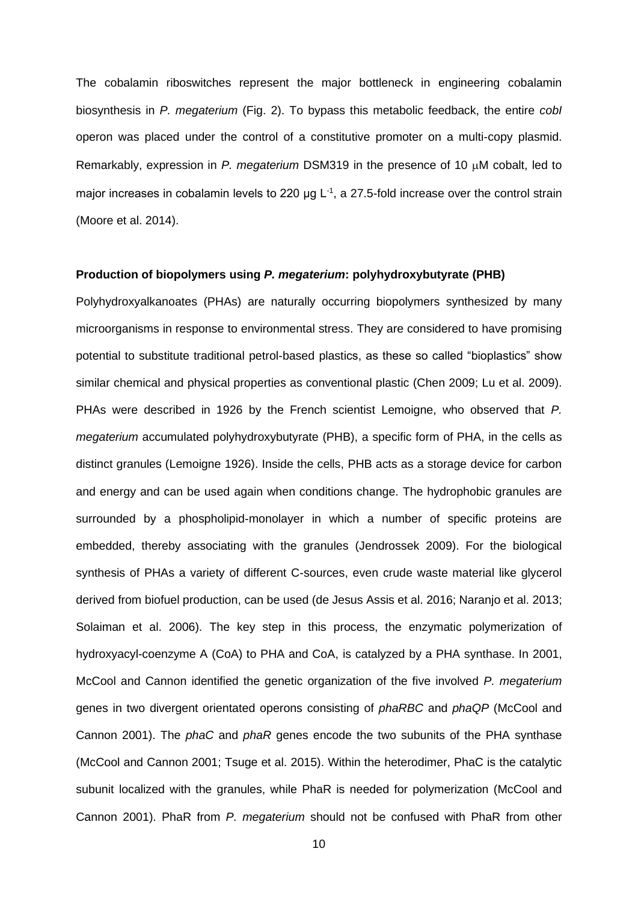The cobalamin riboswitches represent the major bottleneck in engineering cobalamin biosynthesis in *P. megaterium* (Fig. 2). To bypass this metabolic feedback, the entire *cobI* operon was placed under the control of a constitutive promoter on a multi-copy plasmid. Remarkably, expression in *P. megaterium* DSM319 in the presence of 10 µM cobalt, led to major increases in cobalamin levels to 220  $\mu$ g L<sup>-1</sup>, a 27.5-fold increase over the control strain (Moore et al. 2014).

#### **Production of biopolymers using** *P. megaterium***: polyhydroxybutyrate (PHB)**

Polyhydroxyalkanoates (PHAs) are naturally occurring biopolymers synthesized by many microorganisms in response to environmental stress. They are considered to have promising potential to substitute traditional petrol-based plastics, as these so called "bioplastics" show similar chemical and physical properties as conventional plastic (Chen 2009; Lu et al. 2009). PHAs were described in 1926 by the French scientist Lemoigne, who observed that *P. megaterium* accumulated polyhydroxybutyrate (PHB), a specific form of PHA, in the cells as distinct granules (Lemoigne 1926). Inside the cells, PHB acts as a storage device for carbon and energy and can be used again when conditions change. The hydrophobic granules are surrounded by a phospholipid-monolayer in which a number of specific proteins are embedded, thereby associating with the granules (Jendrossek 2009). For the biological synthesis of PHAs a variety of different C-sources, even crude waste material like glycerol derived from biofuel production, can be used (de Jesus Assis et al. 2016; Naranjo et al. 2013; Solaiman et al. 2006). The key step in this process, the enzymatic polymerization of hydroxyacyl-coenzyme A (CoA) to PHA and CoA, is catalyzed by a PHA synthase. In 2001, McCool and Cannon identified the genetic organization of the five involved *P. megaterium* genes in two divergent orientated operons consisting of *phaRBC* and *phaQP* (McCool and Cannon 2001). The *phaC* and *phaR* genes encode the two subunits of the PHA synthase (McCool and Cannon 2001; Tsuge et al. 2015). Within the heterodimer, PhaC is the catalytic subunit localized with the granules, while PhaR is needed for polymerization (McCool and Cannon 2001). PhaR from *P. megaterium* should not be confused with PhaR from other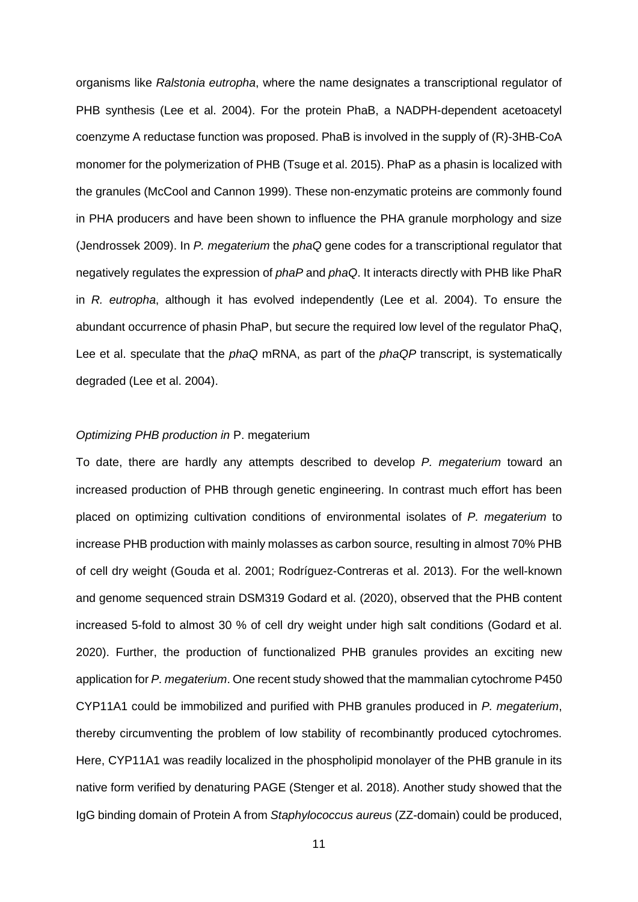organisms like *Ralstonia eutropha*, where the name designates a transcriptional regulator of PHB synthesis (Lee et al. 2004). For the protein PhaB, a NADPH-dependent acetoacetyl coenzyme A reductase function was proposed. PhaB is involved in the supply of (R)-3HB-CoA monomer for the polymerization of PHB (Tsuge et al. 2015). PhaP as a phasin is localized with the granules (McCool and Cannon 1999). These non-enzymatic proteins are commonly found in PHA producers and have been shown to influence the PHA granule morphology and size (Jendrossek 2009). In *P. megaterium* the *phaQ* gene codes for a transcriptional regulator that negatively regulates the expression of *phaP* and *phaQ*. It interacts directly with PHB like PhaR in *R. eutropha*, although it has evolved independently (Lee et al. 2004). To ensure the abundant occurrence of phasin PhaP, but secure the required low level of the regulator PhaQ, Lee et al. speculate that the *phaQ* mRNA, as part of the *phaQP* transcript, is systematically degraded (Lee et al. 2004).

#### *Optimizing PHB production in* P. megaterium

To date, there are hardly any attempts described to develop *P. megaterium* toward an increased production of PHB through genetic engineering. In contrast much effort has been placed on optimizing cultivation conditions of environmental isolates of *P. megaterium* to increase PHB production with mainly molasses as carbon source, resulting in almost 70% PHB of cell dry weight (Gouda et al. 2001; Rodríguez-Contreras et al. 2013). For the well-known and genome sequenced strain DSM319 Godard et al. (2020), observed that the PHB content increased 5-fold to almost 30 % of cell dry weight under high salt conditions (Godard et al. 2020). Further, the production of functionalized PHB granules provides an exciting new application for *P. megaterium*. One recent study showed that the mammalian cytochrome P450 CYP11A1 could be immobilized and purified with PHB granules produced in *P. megaterium*, thereby circumventing the problem of low stability of recombinantly produced cytochromes. Here, CYP11A1 was readily localized in the phospholipid monolayer of the PHB granule in its native form verified by denaturing PAGE (Stenger et al. 2018). Another study showed that the IgG binding domain of Protein A from *Staphylococcus aureus* (ZZ-domain) could be produced,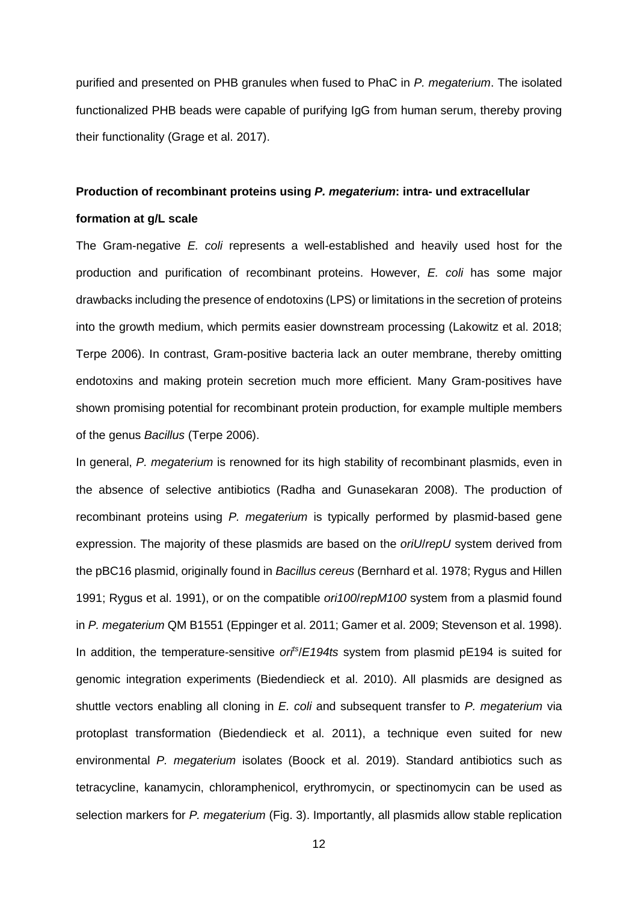purified and presented on PHB granules when fused to PhaC in *P. megaterium*. The isolated functionalized PHB beads were capable of purifying IgG from human serum, thereby proving their functionality (Grage et al. 2017).

## **Production of recombinant proteins using** *P. megaterium***: intra- und extracellular**

## **formation at g/L scale**

The Gram-negative *E. coli* represents a well-established and heavily used host for the production and purification of recombinant proteins. However, *E. coli* has some major drawbacks including the presence of endotoxins (LPS) or limitations in the secretion of proteins into the growth medium, which permits easier downstream processing (Lakowitz et al. 2018; Terpe 2006). In contrast, Gram-positive bacteria lack an outer membrane, thereby omitting endotoxins and making protein secretion much more efficient. Many Gram-positives have shown promising potential for recombinant protein production, for example multiple members of the genus *Bacillus* (Terpe 2006).

In general, *P. megaterium* is renowned for its high stability of recombinant plasmids, even in the absence of selective antibiotics (Radha and Gunasekaran 2008). The production of recombinant proteins using *P. megaterium* is typically performed by plasmid-based gene expression. The majority of these plasmids are based on the *oriU*/*repU* system derived from the pBC16 plasmid, originally found in *Bacillus cereus* (Bernhard et al. 1978; Rygus and Hillen 1991; Rygus et al. 1991), or on the compatible *ori100*/*repM100* system from a plasmid found in *P. megaterium* QM B1551 (Eppinger et al. 2011; Gamer et al. 2009; Stevenson et al. 1998). In addition, the temperature-sensitive *ori<sup>ts</sup>/E194ts* system from plasmid pE194 is suited for genomic integration experiments (Biedendieck et al. 2010). All plasmids are designed as shuttle vectors enabling all cloning in *E. coli* and subsequent transfer to *P. megaterium* via protoplast transformation (Biedendieck et al. 2011), a technique even suited for new environmental *P. megaterium* isolates (Boock et al. 2019). Standard antibiotics such as tetracycline, kanamycin, chloramphenicol, erythromycin, or spectinomycin can be used as selection markers for *P. megaterium* (Fig. 3). Importantly, all plasmids allow stable replication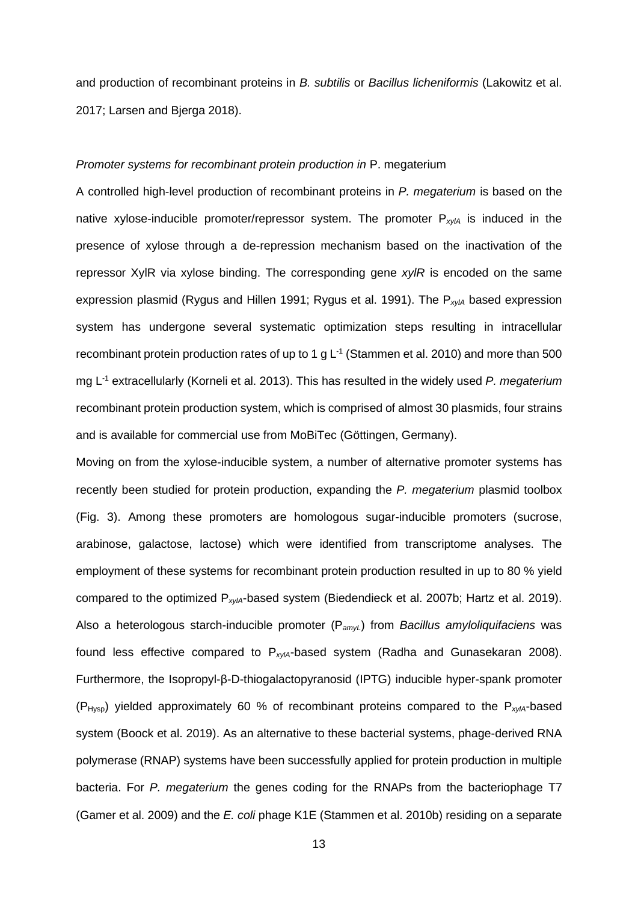and production of recombinant proteins in *B. subtilis* or *Bacillus licheniformis* (Lakowitz et al. 2017; Larsen and Bjerga 2018).

#### *Promoter systems for recombinant protein production in* P. megaterium

A controlled high-level production of recombinant proteins in *P. megaterium* is based on the native xylose-inducible promoter/repressor system. The promoter P<sub>xylA</sub> is induced in the presence of xylose through a de-repression mechanism based on the inactivation of the repressor XylR via xylose binding. The corresponding gene *xylR* is encoded on the same expression plasmid (Rygus and Hillen 1991; Rygus et al. 1991). The P*xylA* based expression system has undergone several systematic optimization steps resulting in intracellular recombinant protein production rates of up to 1 g  $L^{-1}$  (Stammen et al. 2010) and more than 500 mg L-1 extracellularly (Korneli et al. 2013). This has resulted in the widely used *P. megaterium* recombinant protein production system, which is comprised of almost 30 plasmids, four strains and is available for commercial use from MoBiTec (Göttingen, Germany).

Moving on from the xylose-inducible system, a number of alternative promoter systems has recently been studied for protein production, expanding the *P. megaterium* plasmid toolbox (Fig. 3). Among these promoters are homologous sugar-inducible promoters (sucrose, arabinose, galactose, lactose) which were identified from transcriptome analyses. The employment of these systems for recombinant protein production resulted in up to 80 % yield compared to the optimized P*xylA*-based system (Biedendieck et al. 2007b; Hartz et al. 2019). Also a heterologous starch-inducible promoter (P*amyL*) from *Bacillus amyloliquifaciens* was found less effective compared to P*xylA*-based system (Radha and Gunasekaran 2008). Furthermore, the Isopropyl-β-D-thiogalactopyranosid (IPTG) inducible hyper-spank promoter (PHysp) yielded approximately 60 % of recombinant proteins compared to the P*xylA*-based system (Boock et al. 2019). As an alternative to these bacterial systems, phage-derived RNA polymerase (RNAP) systems have been successfully applied for protein production in multiple bacteria. For *P. megaterium* the genes coding for the RNAPs from the bacteriophage T7 (Gamer et al. 2009) and the *E. coli* phage K1E (Stammen et al. 2010b) residing on a separate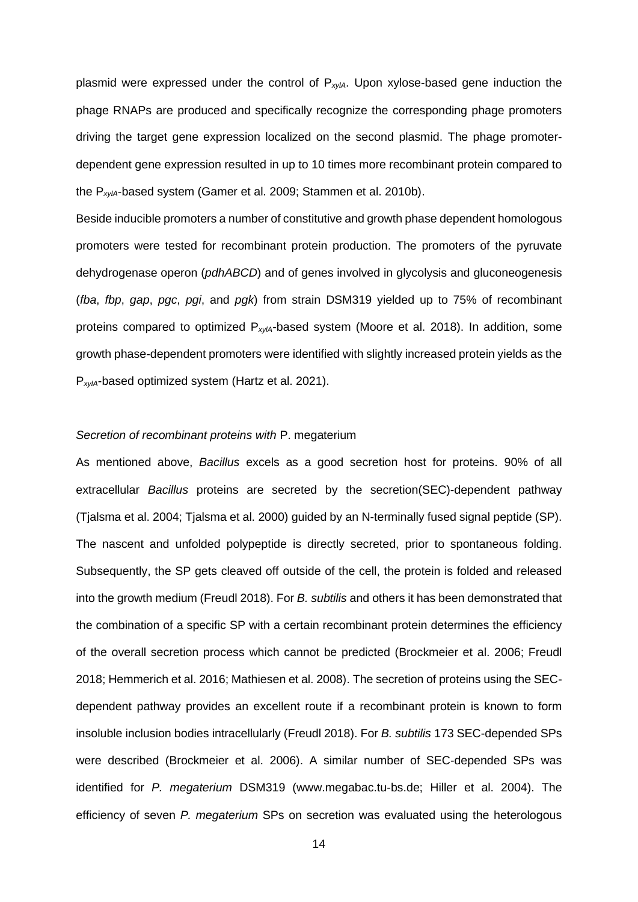plasmid were expressed under the control of P*xylA*. Upon xylose-based gene induction the phage RNAPs are produced and specifically recognize the corresponding phage promoters driving the target gene expression localized on the second plasmid. The phage promoterdependent gene expression resulted in up to 10 times more recombinant protein compared to the P*xylA*-based system (Gamer et al. 2009; Stammen et al. 2010b).

Beside inducible promoters a number of constitutive and growth phase dependent homologous promoters were tested for recombinant protein production. The promoters of the pyruvate dehydrogenase operon (*pdhABCD*) and of genes involved in glycolysis and gluconeogenesis (*fba*, *fbp*, *gap*, *pgc*, *pgi*, and *pgk*) from strain DSM319 yielded up to 75% of recombinant proteins compared to optimized P*xylA*-based system (Moore et al. 2018). In addition, some growth phase-dependent promoters were identified with slightly increased protein yields as the P*xylA*-based optimized system (Hartz et al. 2021).

#### *Secretion of recombinant proteins with* P. megaterium

As mentioned above, *Bacillus* excels as a good secretion host for proteins. 90% of all extracellular *Bacillus* proteins are secreted by the secretion(SEC)-dependent pathway (Tjalsma et al. 2004; Tjalsma et al. 2000) guided by an N-terminally fused signal peptide (SP). The nascent and unfolded polypeptide is directly secreted, prior to spontaneous folding. Subsequently, the SP gets cleaved off outside of the cell, the protein is folded and released into the growth medium (Freudl 2018). For *B. subtilis* and others it has been demonstrated that the combination of a specific SP with a certain recombinant protein determines the efficiency of the overall secretion process which cannot be predicted (Brockmeier et al. 2006; Freudl 2018; Hemmerich et al. 2016; Mathiesen et al. 2008). The secretion of proteins using the SECdependent pathway provides an excellent route if a recombinant protein is known to form insoluble inclusion bodies intracellularly (Freudl 2018). For *B. subtilis* 173 SEC-depended SPs were described (Brockmeier et al. 2006). A similar number of SEC-depended SPs was identified for *P. megaterium* DSM319 (www.megabac.tu-bs.de; Hiller et al. 2004). The efficiency of seven *P. megaterium* SPs on secretion was evaluated using the heterologous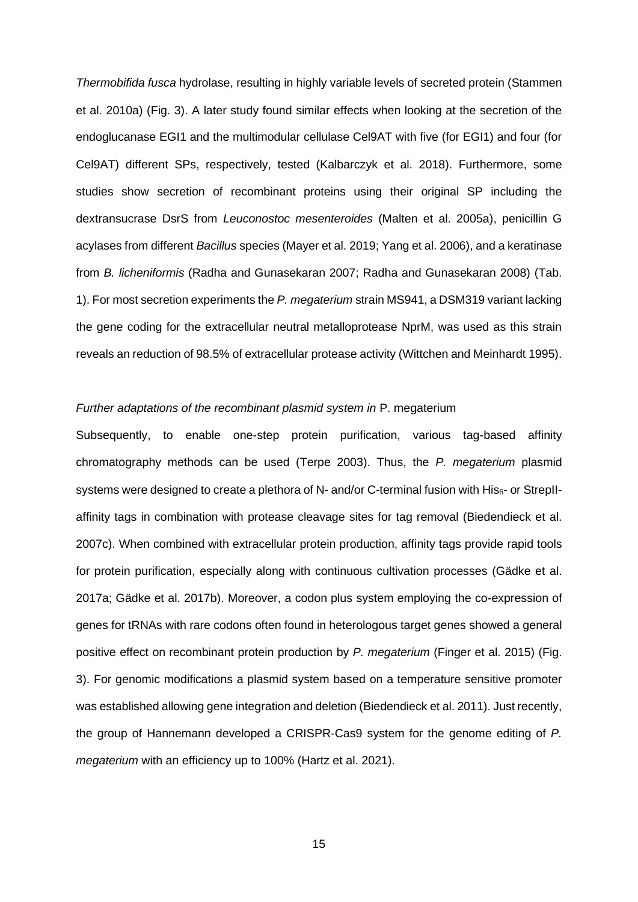*Thermobifida fusca* hydrolase, resulting in highly variable levels of secreted protein (Stammen et al. 2010a) (Fig. 3). A later study found similar effects when looking at the secretion of the endoglucanase EGI1 and the multimodular cellulase Cel9AT with five (for EGI1) and four (for Cel9AT) different SPs, respectively, tested (Kalbarczyk et al. 2018). Furthermore, some studies show secretion of recombinant proteins using their original SP including the dextransucrase DsrS from *Leuconostoc mesenteroides* (Malten et al. 2005a), penicillin G acylases from different *Bacillus* species (Mayer et al. 2019; Yang et al. 2006), and a keratinase from *B. licheniformis* (Radha and Gunasekaran 2007; Radha and Gunasekaran 2008) (Tab. 1). For most secretion experiments the *P. megaterium* strain MS941, a DSM319 variant lacking the gene coding for the extracellular neutral metalloprotease NprM, was used as this strain reveals an reduction of 98.5% of extracellular protease activity (Wittchen and Meinhardt 1995).

## *Further adaptations of the recombinant plasmid system in* P. megaterium

Subsequently, to enable one-step protein purification, various tag-based affinity chromatography methods can be used (Terpe 2003). Thus, the *P. megaterium* plasmid systems were designed to create a plethora of N- and/or C-terminal fusion with  $His_{6}$ - or StrepIIaffinity tags in combination with protease cleavage sites for tag removal (Biedendieck et al. 2007c). When combined with extracellular protein production, affinity tags provide rapid tools for protein purification, especially along with continuous cultivation processes (Gädke et al. 2017a; Gädke et al. 2017b). Moreover, a codon plus system employing the co-expression of genes for tRNAs with rare codons often found in heterologous target genes showed a general positive effect on recombinant protein production by *P. megaterium* (Finger et al. 2015) (Fig. 3). For genomic modifications a plasmid system based on a temperature sensitive promoter was established allowing gene integration and deletion (Biedendieck et al. 2011). Just recently, the group of Hannemann developed a CRISPR-Cas9 system for the genome editing of *P. megaterium* with an efficiency up to 100% (Hartz et al. 2021).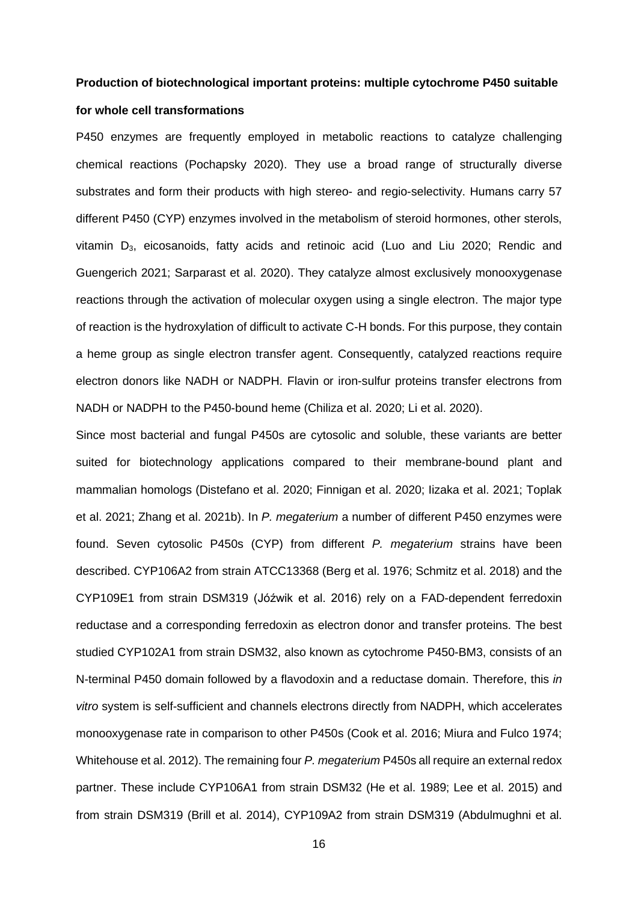## **Production of biotechnological important proteins: multiple cytochrome P450 suitable for whole cell transformations**

P450 enzymes are frequently employed in metabolic reactions to catalyze challenging chemical reactions (Pochapsky 2020). They use a broad range of structurally diverse substrates and form their products with high stereo- and regio-selectivity. Humans carry 57 different P450 (CYP) enzymes involved in the metabolism of steroid hormones, other sterols, vitamin D3, eicosanoids, fatty acids and retinoic acid (Luo and Liu 2020; Rendic and Guengerich 2021; Sarparast et al. 2020). They catalyze almost exclusively monooxygenase reactions through the activation of molecular oxygen using a single electron. The major type of reaction is the hydroxylation of difficult to activate C-H bonds. For this purpose, they contain a heme group as single electron transfer agent. Consequently, catalyzed reactions require electron donors like NADH or NADPH. Flavin or iron-sulfur proteins transfer electrons from NADH or NADPH to the P450-bound heme (Chiliza et al. 2020; Li et al. 2020).

Since most bacterial and fungal P450s are cytosolic and soluble, these variants are better suited for biotechnology applications compared to their membrane-bound plant and mammalian homologs (Distefano et al. 2020; Finnigan et al. 2020; Iizaka et al. 2021; Toplak et al. 2021; Zhang et al. 2021b). In *P. megaterium* a number of different P450 enzymes were found. Seven cytosolic P450s (CYP) from different *P. megaterium* strains have been described. CYP106A2 from strain ATCC13368 (Berg et al. 1976; Schmitz et al. 2018) and the CYP109E1 from strain DSM319 (Jóźwik et al. 2016) rely on a FAD-dependent ferredoxin reductase and a corresponding ferredoxin as electron donor and transfer proteins. The best studied CYP102A1 from strain DSM32, also known as cytochrome P450-BM3, consists of an N-terminal P450 domain followed by a flavodoxin and a reductase domain. Therefore, this *in vitro* system is self-sufficient and channels electrons directly from NADPH, which accelerates monooxygenase rate in comparison to other P450s (Cook et al. 2016; Miura and Fulco 1974; Whitehouse et al. 2012). The remaining four *P. megaterium* P450s all require an external redox partner. These include CYP106A1 from strain DSM32 (He et al. 1989; Lee et al. 2015) and from strain DSM319 (Brill et al. 2014), CYP109A2 from strain DSM319 (Abdulmughni et al.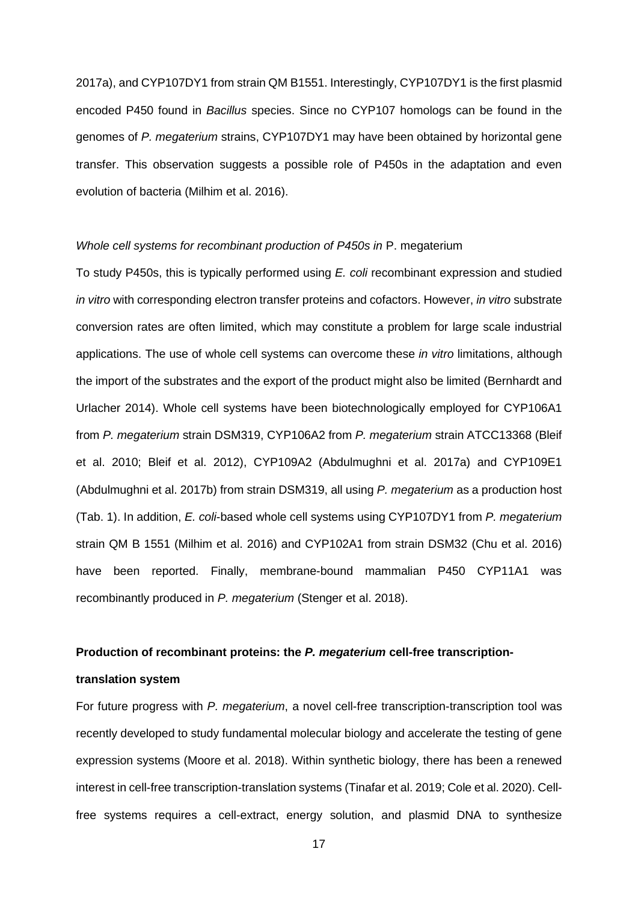2017a), and CYP107DY1 from strain QM B1551. Interestingly, CYP107DY1 is the first plasmid encoded P450 found in *Bacillus* species. Since no CYP107 homologs can be found in the genomes of *P. megaterium* strains, CYP107DY1 may have been obtained by horizontal gene transfer. This observation suggests a possible role of P450s in the adaptation and even evolution of bacteria (Milhim et al. 2016).

#### *Whole cell systems for recombinant production of P450s in* P. megaterium

To study P450s, this is typically performed using *E. coli* recombinant expression and studied *in vitro* with corresponding electron transfer proteins and cofactors. However, *in vitro* substrate conversion rates are often limited, which may constitute a problem for large scale industrial applications. The use of whole cell systems can overcome these *in vitro* limitations, although the import of the substrates and the export of the product might also be limited (Bernhardt and Urlacher 2014). Whole cell systems have been biotechnologically employed for CYP106A1 from *P. megaterium* strain DSM319, CYP106A2 from *P. megaterium* strain ATCC13368 (Bleif et al. 2010; Bleif et al. 2012), CYP109A2 (Abdulmughni et al. 2017a) and CYP109E1 (Abdulmughni et al. 2017b) from strain DSM319, all using *P. megaterium* as a production host (Tab. 1). In addition, *E. coli*-based whole cell systems using CYP107DY1 from *P. megaterium*  strain QM B 1551 (Milhim et al. 2016) and CYP102A1 from strain DSM32 (Chu et al. 2016) have been reported. Finally, membrane-bound mammalian P450 CYP11A1 was recombinantly produced in *P. megaterium* (Stenger et al. 2018).

#### **Production of recombinant proteins: the** *P. megaterium* **cell-free transcription-**

## **translation system**

For future progress with *P. megaterium*, a novel cell-free transcription-transcription tool was recently developed to study fundamental molecular biology and accelerate the testing of gene expression systems (Moore et al. 2018). Within synthetic biology, there has been a renewed interest in cell-free transcription-translation systems (Tinafar et al. 2019; Cole et al. 2020). Cellfree systems requires a cell-extract, energy solution, and plasmid DNA to synthesize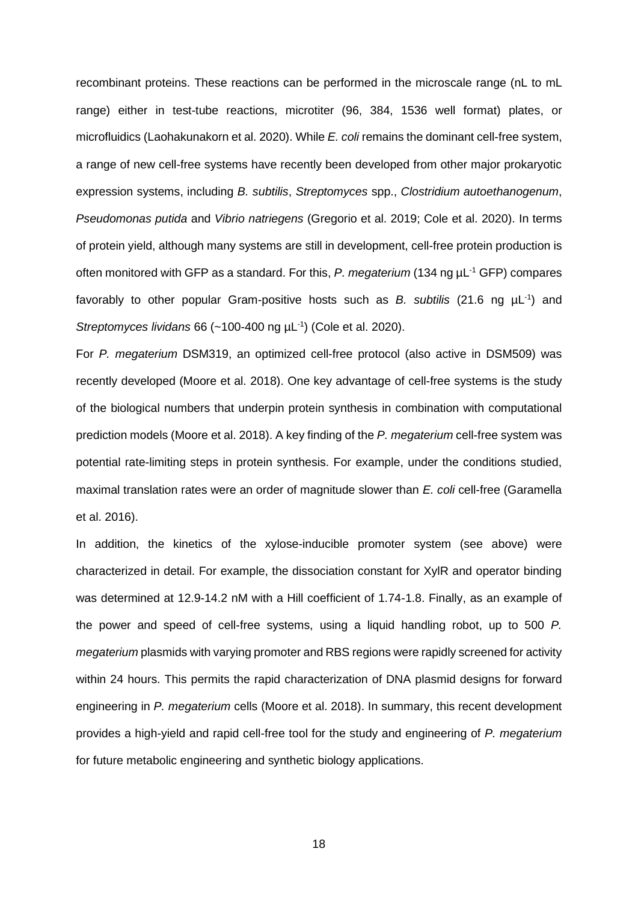recombinant proteins. These reactions can be performed in the microscale range (nL to mL range) either in test-tube reactions, microtiter (96, 384, 1536 well format) plates, or microfluidics (Laohakunakorn et al. 2020). While *E. coli* remains the dominant cell-free system, a range of new cell-free systems have recently been developed from other major prokaryotic expression systems, including *B. subtilis*, *Streptomyces* spp., *Clostridium autoethanogenum*, *Pseudomonas putida* and *Vibrio natriegens* (Gregorio et al. 2019; Cole et al. 2020). In terms of protein yield, although many systems are still in development, cell-free protein production is often monitored with GFP as a standard. For this, P. megaterium (134 ng  $\mu$ L<sup>-1</sup> GFP) compares favorably to other popular Gram-positive hosts such as *B. subtilis* (21.6 ng  $\mu$ L<sup>-1</sup>) and Streptomyces lividans 66 (~100-400 ng µL<sup>-1</sup>) (Cole et al. 2020).

For *P. megaterium* DSM319, an optimized cell-free protocol (also active in DSM509) was recently developed (Moore et al. 2018). One key advantage of cell-free systems is the study of the biological numbers that underpin protein synthesis in combination with computational prediction models (Moore et al. 2018). A key finding of the *P. megaterium* cell-free system was potential rate-limiting steps in protein synthesis. For example, under the conditions studied, maximal translation rates were an order of magnitude slower than *E. coli* cell-free (Garamella et al. 2016).

In addition, the kinetics of the xylose-inducible promoter system (see above) were characterized in detail. For example, the dissociation constant for XylR and operator binding was determined at 12.9-14.2 nM with a Hill coefficient of 1.74-1.8. Finally, as an example of the power and speed of cell-free systems, using a liquid handling robot, up to 500 *P. megaterium* plasmids with varying promoter and RBS regions were rapidly screened for activity within 24 hours. This permits the rapid characterization of DNA plasmid designs for forward engineering in *P. megaterium* cells (Moore et al. 2018). In summary, this recent development provides a high-yield and rapid cell-free tool for the study and engineering of *P. megaterium* for future metabolic engineering and synthetic biology applications.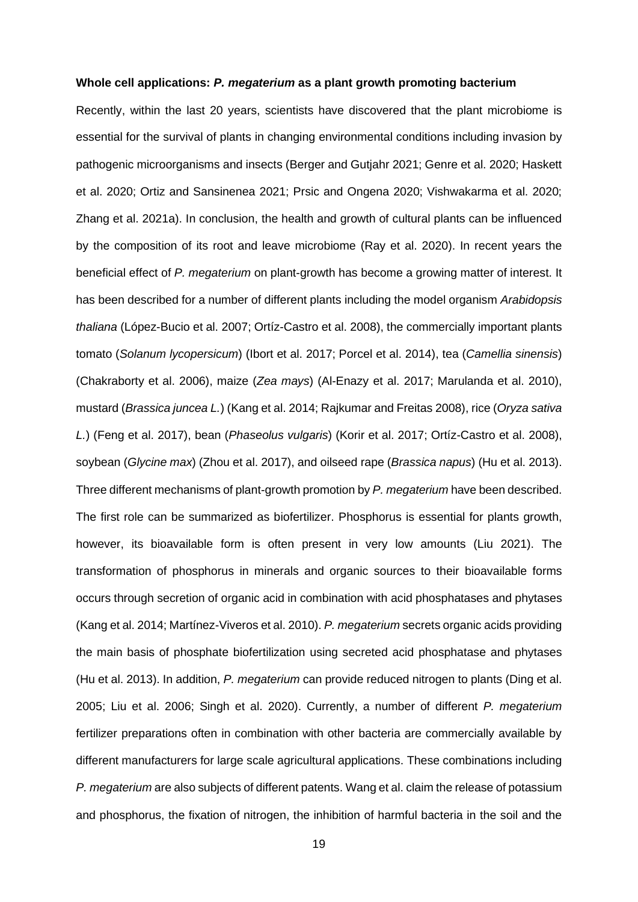#### **Whole cell applications:** *P. megaterium* **as a plant growth promoting bacterium**

Recently, within the last 20 years, scientists have discovered that the plant microbiome is essential for the survival of plants in changing environmental conditions including invasion by pathogenic microorganisms and insects (Berger and Gutjahr 2021; Genre et al. 2020; Haskett et al. 2020; Ortiz and Sansinenea 2021; Prsic and Ongena 2020; Vishwakarma et al. 2020; Zhang et al. 2021a). In conclusion, the health and growth of cultural plants can be influenced by the composition of its root and leave microbiome (Ray et al. 2020). In recent years the beneficial effect of *P. megaterium* on plant-growth has become a growing matter of interest. It has been described for a number of different plants including the model organism *Arabidopsis thaliana* (López-Bucio et al. 2007; Ortíz-Castro et al. 2008), the commercially important plants tomato (*Solanum lycopersicum*) (Ibort et al. 2017; Porcel et al. 2014), tea (*Camellia sinensis*) (Chakraborty et al. 2006), maize (*Zea mays*) (Al-Enazy et al. 2017; Marulanda et al. 2010), mustard (*Brassica juncea L.*) (Kang et al. 2014; Rajkumar and Freitas 2008), rice (*Oryza sativa L.*) (Feng et al. 2017), bean (*Phaseolus vulgaris*) (Korir et al. 2017; Ortíz-Castro et al. 2008), soybean (*Glycine max*) (Zhou et al. 2017), and oilseed rape (*Brassica napus*) (Hu et al. 2013). Three different mechanisms of plant-growth promotion by *P. megaterium* have been described. The first role can be summarized as biofertilizer. Phosphorus is essential for plants growth, however, its bioavailable form is often present in very low amounts (Liu 2021). The transformation of phosphorus in minerals and organic sources to their bioavailable forms occurs through secretion of organic acid in combination with acid phosphatases and phytases (Kang et al. 2014; Martínez-Viveros et al. 2010). *P. megaterium* secrets organic acids providing the main basis of phosphate biofertilization using secreted acid phosphatase and phytases (Hu et al. 2013). In addition, *P. megaterium* can provide reduced nitrogen to plants (Ding et al. 2005; Liu et al. 2006; Singh et al. 2020). Currently, a number of different *P. megaterium* fertilizer preparations often in combination with other bacteria are commercially available by different manufacturers for large scale agricultural applications. These combinations including *P. megaterium* are also subjects of different patents. Wang et al. claim the release of potassium and phosphorus, the fixation of nitrogen, the inhibition of harmful bacteria in the soil and the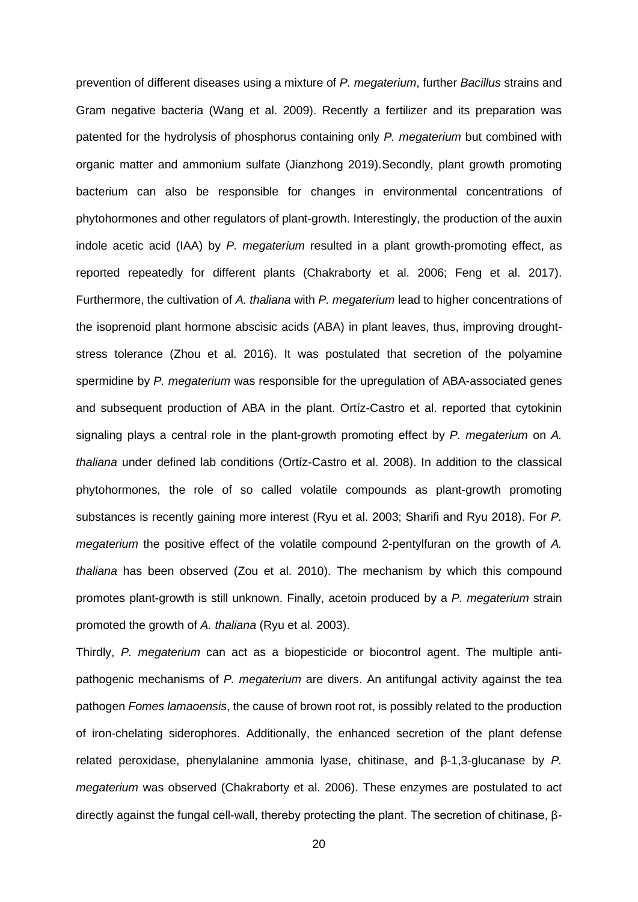prevention of different diseases using a mixture of *P. megaterium*, further *Bacillus* strains and Gram negative bacteria (Wang et al. 2009). Recently a fertilizer and its preparation was patented for the hydrolysis of phosphorus containing only *P. megaterium* but combined with organic matter and ammonium sulfate (Jianzhong 2019).Secondly, plant growth promoting bacterium can also be responsible for changes in environmental concentrations of phytohormones and other regulators of plant-growth. Interestingly, the production of the auxin indole acetic acid (IAA) by *P. megaterium* resulted in a plant growth-promoting effect, as reported repeatedly for different plants (Chakraborty et al. 2006; Feng et al. 2017). Furthermore, the cultivation of *A. thaliana* with *P. megaterium* lead to higher concentrations of the isoprenoid plant hormone abscisic acids (ABA) in plant leaves, thus, improving droughtstress tolerance (Zhou et al. 2016). It was postulated that secretion of the polyamine spermidine by *P. megaterium* was responsible for the upregulation of ABA-associated genes and subsequent production of ABA in the plant. Ortíz-Castro et al. reported that cytokinin signaling plays a central role in the plant-growth promoting effect by *P. megaterium* on *A. thaliana* under defined lab conditions (Ortíz-Castro et al. 2008). In addition to the classical phytohormones, the role of so called volatile compounds as plant-growth promoting substances is recently gaining more interest (Ryu et al. 2003; Sharifi and Ryu 2018). For *P. megaterium* the positive effect of the volatile compound 2-pentylfuran on the growth of *A. thaliana* has been observed (Zou et al. 2010). The mechanism by which this compound promotes plant-growth is still unknown. Finally, acetoin produced by a *P. megaterium* strain promoted the growth of *A. thaliana* (Ryu et al. 2003).

Thirdly, *P. megaterium* can act as a biopesticide or biocontrol agent. The multiple antipathogenic mechanisms of *P. megaterium* are divers. An antifungal activity against the tea pathogen *Fomes lamaoensis*, the cause of brown root rot, is possibly related to the production of iron-chelating siderophores. Additionally, the enhanced secretion of the plant defense related peroxidase, phenylalanine ammonia lyase, chitinase, and β-1,3-glucanase by *P. megaterium* was observed (Chakraborty et al. 2006). These enzymes are postulated to act directly against the fungal cell-wall, thereby protecting the plant. The secretion of chitinase, β-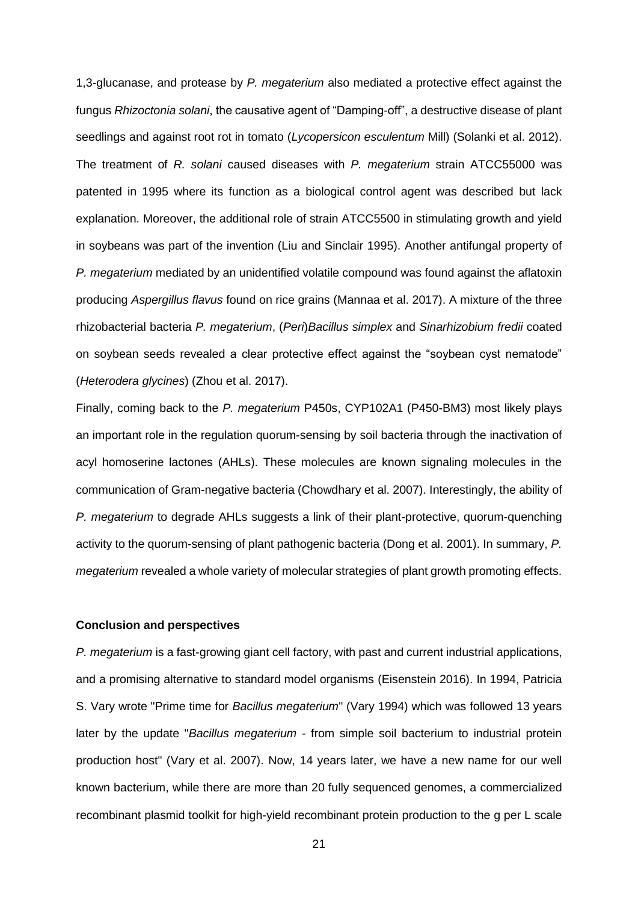1,3-glucanase, and protease by *P. megaterium* also mediated a protective effect against the fungus *Rhizoctonia solani*, the causative agent of "Damping-off", a destructive disease of plant seedlings and against root rot in tomato (*Lycopersicon esculentum* Mill) (Solanki et al. 2012). The treatment of *R. solani* caused diseases with *P. megaterium* strain ATCC55000 was patented in 1995 where its function as a biological control agent was described but lack explanation. Moreover, the additional role of strain ATCC5500 in stimulating growth and yield in soybeans was part of the invention (Liu and Sinclair 1995). Another antifungal property of *P. megaterium* mediated by an unidentified volatile compound was found against the aflatoxin producing *Aspergillus flavus* found on rice grains (Mannaa et al. 2017). A mixture of the three rhizobacterial bacteria *P. megaterium*, (*Peri*)*Bacillus simplex* and *Sinarhizobium fredii* coated on soybean seeds revealed a clear protective effect against the "soybean cyst nematode" (*Heterodera glycines*) (Zhou et al. 2017).

Finally, coming back to the *P. megaterium* P450s, CYP102A1 (P450-BM3) most likely plays an important role in the regulation quorum-sensing by soil bacteria through the inactivation of acyl homoserine lactones (AHLs). These molecules are known signaling molecules in the communication of Gram-negative bacteria (Chowdhary et al. 2007). Interestingly, the ability of *P. megaterium* to degrade AHLs suggests a link of their plant-protective, quorum-quenching activity to the quorum-sensing of plant pathogenic bacteria (Dong et al. 2001). In summary, *P. megaterium* revealed a whole variety of molecular strategies of plant growth promoting effects.

#### **Conclusion and perspectives**

*P. megaterium* is a fast-growing giant cell factory, with past and current industrial applications, and a promising alternative to standard model organisms (Eisenstein 2016). In 1994, Patricia S. Vary wrote "Prime time for *Bacillus megaterium*" (Vary 1994) which was followed 13 years later by the update "*Bacillus megaterium* - from simple soil bacterium to industrial protein production host" (Vary et al. 2007). Now, 14 years later, we have a new name for our well known bacterium, while there are more than 20 fully sequenced genomes, a commercialized recombinant plasmid toolkit for high-yield recombinant protein production to the g per L scale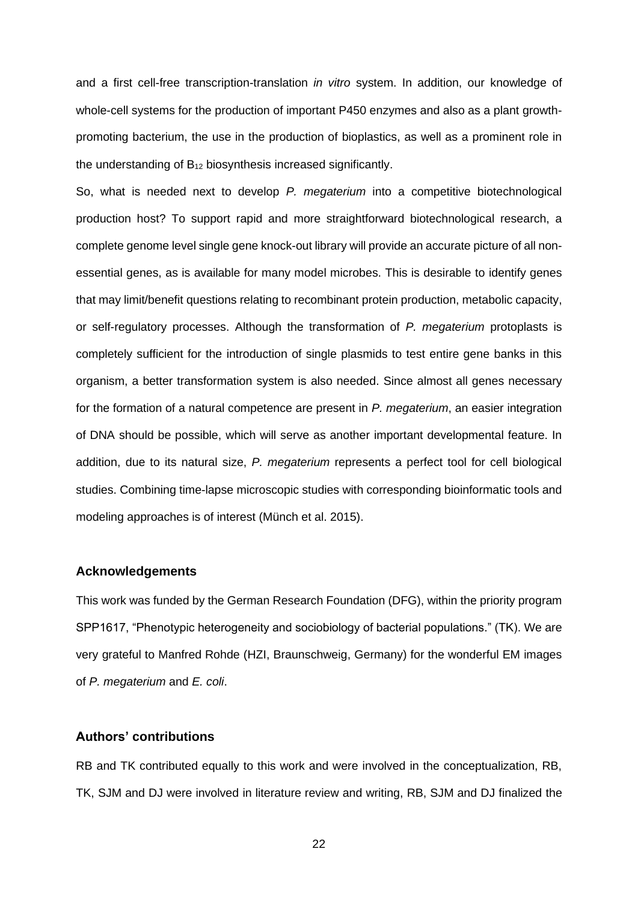and a first cell-free transcription-translation *in vitro* system. In addition, our knowledge of whole-cell systems for the production of important P450 enzymes and also as a plant growthpromoting bacterium, the use in the production of bioplastics, as well as a prominent role in the understanding of  $B_{12}$  biosynthesis increased significantly.

So, what is needed next to develop *P. megaterium* into a competitive biotechnological production host? To support rapid and more straightforward biotechnological research, a complete genome level single gene knock-out library will provide an accurate picture of all nonessential genes, as is available for many model microbes. This is desirable to identify genes that may limit/benefit questions relating to recombinant protein production, metabolic capacity, or self-regulatory processes. Although the transformation of *P. megaterium* protoplasts is completely sufficient for the introduction of single plasmids to test entire gene banks in this organism, a better transformation system is also needed. Since almost all genes necessary for the formation of a natural competence are present in *P. megaterium*, an easier integration of DNA should be possible, which will serve as another important developmental feature. In addition, due to its natural size, *P. megaterium* represents a perfect tool for cell biological studies. Combining time-lapse microscopic studies with corresponding bioinformatic tools and modeling approaches is of interest (Münch et al. 2015).

#### **Acknowledgements**

This work was funded by the German Research Foundation (DFG), within the priority program SPP1617, "Phenotypic heterogeneity and sociobiology of bacterial populations." (TK). We are very grateful to Manfred Rohde (HZI, Braunschweig, Germany) for the wonderful EM images of *P. megaterium* and *E. coli*.

## **Authors' contributions**

RB and TK contributed equally to this work and were involved in the conceptualization, RB, TK, SJM and DJ were involved in literature review and writing, RB, SJM and DJ finalized the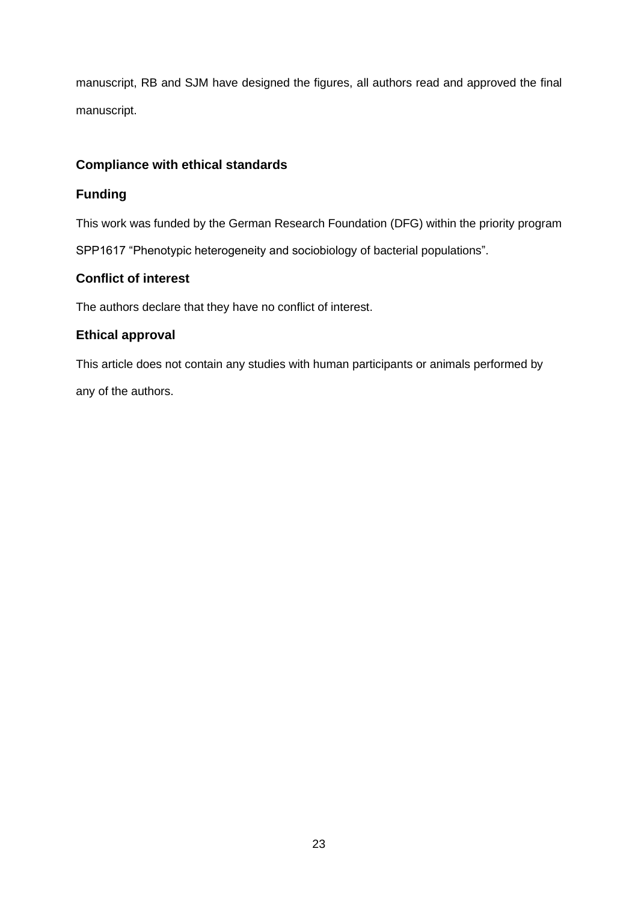manuscript, RB and SJM have designed the figures, all authors read and approved the final manuscript.

## **Compliance with ethical standards**

## **Funding**

This work was funded by the German Research Foundation (DFG) within the priority program

SPP1617 "Phenotypic heterogeneity and sociobiology of bacterial populations".

## **Conflict of interest**

The authors declare that they have no conflict of interest.

## **Ethical approval**

This article does not contain any studies with human participants or animals performed by any of the authors.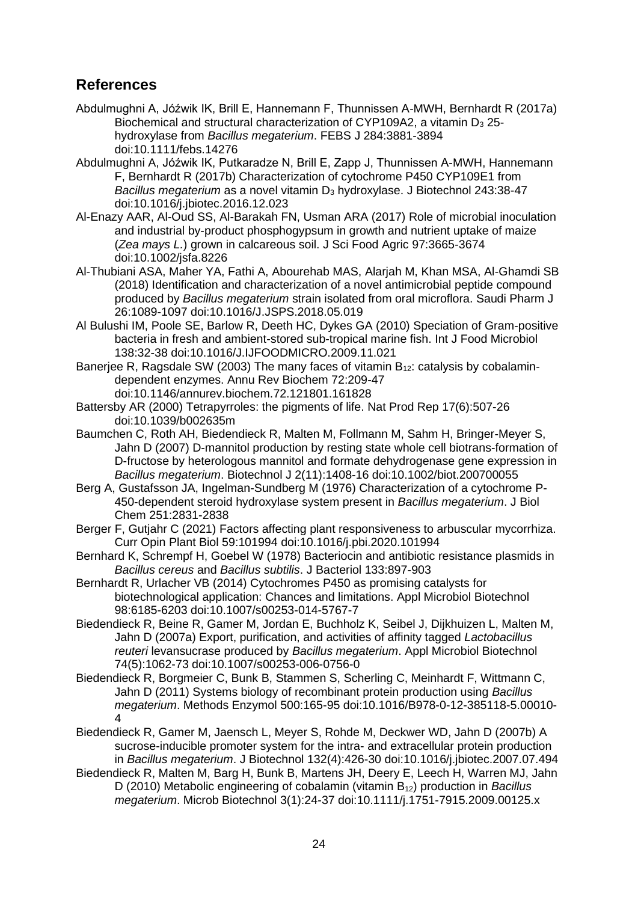## **References**

- Abdulmughni A, Jóźwik IK, Brill E, Hannemann F, Thunnissen A-MWH, Bernhardt R (2017a) Biochemical and structural characterization of CYP109A2, a vitamin  $D_3$  25hydroxylase from *Bacillus megaterium*. FEBS J 284:3881-3894 doi:10.1111/febs.14276
- Abdulmughni A, Jóźwik IK, Putkaradze N, Brill E, Zapp J, Thunnissen A-MWH, Hannemann F, Bernhardt R (2017b) Characterization of cytochrome P450 CYP109E1 from *Bacillus megaterium* as a novel vitamin D<sub>3</sub> hydroxylase. J Biotechnol 243:38-47 doi:10.1016/j.jbiotec.2016.12.023
- Al-Enazy AAR, Al-Oud SS, Al-Barakah FN, Usman ARA (2017) Role of microbial inoculation and industrial by-product phosphogypsum in growth and nutrient uptake of maize (*Zea mays L.*) grown in calcareous soil. J Sci Food Agric 97:3665-3674 doi:10.1002/jsfa.8226
- Al-Thubiani ASA, Maher YA, Fathi A, Abourehab MAS, Alarjah M, Khan MSA, Al-Ghamdi SB (2018) Identification and characterization of a novel antimicrobial peptide compound produced by *Bacillus megaterium* strain isolated from oral microflora. Saudi Pharm J 26:1089-1097 doi:10.1016/J.JSPS.2018.05.019
- Al Bulushi IM, Poole SE, Barlow R, Deeth HC, Dykes GA (2010) Speciation of Gram-positive bacteria in fresh and ambient-stored sub-tropical marine fish. Int J Food Microbiol 138:32-38 doi:10.1016/J.IJFOODMICRO.2009.11.021
- Banerjee R, Ragsdale SW (2003) The many faces of vitamin  $B_{12}$ : catalysis by cobalamindependent enzymes. Annu Rev Biochem 72:209-47 doi:10.1146/annurev.biochem.72.121801.161828
- Battersby AR (2000) Tetrapyrroles: the pigments of life. Nat Prod Rep 17(6):507-26 doi:10.1039/b002635m
- Baumchen C, Roth AH, Biedendieck R, Malten M, Follmann M, Sahm H, Bringer-Meyer S, Jahn D (2007) D-mannitol production by resting state whole cell biotrans-formation of D-fructose by heterologous mannitol and formate dehydrogenase gene expression in *Bacillus megaterium*. Biotechnol J 2(11):1408-16 doi:10.1002/biot.200700055
- Berg A, Gustafsson JA, Ingelman-Sundberg M (1976) Characterization of a cytochrome P-450-dependent steroid hydroxylase system present in *Bacillus megaterium*. J Biol Chem 251:2831-2838
- Berger F, Gutjahr C (2021) Factors affecting plant responsiveness to arbuscular mycorrhiza. Curr Opin Plant Biol 59:101994 doi:10.1016/j.pbi.2020.101994
- Bernhard K, Schrempf H, Goebel W (1978) Bacteriocin and antibiotic resistance plasmids in *Bacillus cereus* and *Bacillus subtilis*. J Bacteriol 133:897-903
- Bernhardt R, Urlacher VB (2014) Cytochromes P450 as promising catalysts for biotechnological application: Chances and limitations. Appl Microbiol Biotechnol 98:6185-6203 doi:10.1007/s00253-014-5767-7
- Biedendieck R, Beine R, Gamer M, Jordan E, Buchholz K, Seibel J, Dijkhuizen L, Malten M, Jahn D (2007a) Export, purification, and activities of affinity tagged *Lactobacillus reuteri* levansucrase produced by *Bacillus megaterium*. Appl Microbiol Biotechnol 74(5):1062-73 doi:10.1007/s00253-006-0756-0
- Biedendieck R, Borgmeier C, Bunk B, Stammen S, Scherling C, Meinhardt F, Wittmann C, Jahn D (2011) Systems biology of recombinant protein production using *Bacillus megaterium*. Methods Enzymol 500:165-95 doi:10.1016/B978-0-12-385118-5.00010- 4
- Biedendieck R, Gamer M, Jaensch L, Meyer S, Rohde M, Deckwer WD, Jahn D (2007b) A sucrose-inducible promoter system for the intra- and extracellular protein production in *Bacillus megaterium*. J Biotechnol 132(4):426-30 doi:10.1016/j.jbiotec.2007.07.494
- Biedendieck R, Malten M, Barg H, Bunk B, Martens JH, Deery E, Leech H, Warren MJ, Jahn D (2010) Metabolic engineering of cobalamin (vitamin B<sub>12</sub>) production in *Bacillus megaterium*. Microb Biotechnol 3(1):24-37 doi:10.1111/j.1751-7915.2009.00125.x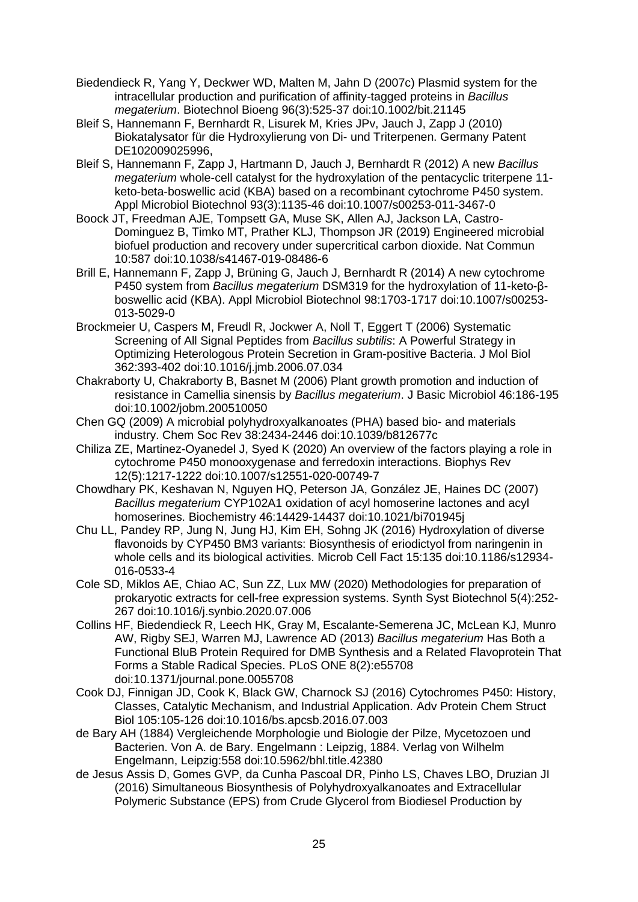- Biedendieck R, Yang Y, Deckwer WD, Malten M, Jahn D (2007c) Plasmid system for the intracellular production and purification of affinity-tagged proteins in *Bacillus megaterium*. Biotechnol Bioeng 96(3):525-37 doi:10.1002/bit.21145
- Bleif S, Hannemann F, Bernhardt R, Lisurek M, Kries JPv, Jauch J, Zapp J (2010) Biokatalysator für die Hydroxylierung von Di- und Triterpenen. Germany Patent DE102009025996,
- Bleif S, Hannemann F, Zapp J, Hartmann D, Jauch J, Bernhardt R (2012) A new *Bacillus megaterium* whole-cell catalyst for the hydroxylation of the pentacyclic triterpene 11 keto-beta-boswellic acid (KBA) based on a recombinant cytochrome P450 system. Appl Microbiol Biotechnol 93(3):1135-46 doi:10.1007/s00253-011-3467-0
- Boock JT, Freedman AJE, Tompsett GA, Muse SK, Allen AJ, Jackson LA, Castro-Dominguez B, Timko MT, Prather KLJ, Thompson JR (2019) Engineered microbial biofuel production and recovery under supercritical carbon dioxide. Nat Commun 10:587 doi:10.1038/s41467-019-08486-6
- Brill E, Hannemann F, Zapp J, Brüning G, Jauch J, Bernhardt R (2014) A new cytochrome P450 system from *Bacillus megaterium* DSM319 for the hydroxylation of 11-keto-βboswellic acid (KBA). Appl Microbiol Biotechnol 98:1703-1717 doi:10.1007/s00253- 013-5029-0
- Brockmeier U, Caspers M, Freudl R, Jockwer A, Noll T, Eggert T (2006) Systematic Screening of All Signal Peptides from *Bacillus subtilis*: A Powerful Strategy in Optimizing Heterologous Protein Secretion in Gram-positive Bacteria. J Mol Biol 362:393-402 doi:10.1016/j.jmb.2006.07.034
- Chakraborty U, Chakraborty B, Basnet M (2006) Plant growth promotion and induction of resistance in Camellia sinensis by *Bacillus megaterium*. J Basic Microbiol 46:186-195 doi:10.1002/jobm.200510050
- Chen GQ (2009) A microbial polyhydroxyalkanoates (PHA) based bio- and materials industry. Chem Soc Rev 38:2434-2446 doi:10.1039/b812677c
- Chiliza ZE, Martinez-Oyanedel J, Syed K (2020) An overview of the factors playing a role in cytochrome P450 monooxygenase and ferredoxin interactions. Biophys Rev 12(5):1217-1222 doi:10.1007/s12551-020-00749-7
- Chowdhary PK, Keshavan N, Nguyen HQ, Peterson JA, González JE, Haines DC (2007) *Bacillus megaterium* CYP102A1 oxidation of acyl homoserine lactones and acyl homoserines. Biochemistry 46:14429-14437 doi:10.1021/bi701945j
- Chu LL, Pandey RP, Jung N, Jung HJ, Kim EH, Sohng JK (2016) Hydroxylation of diverse flavonoids by CYP450 BM3 variants: Biosynthesis of eriodictyol from naringenin in whole cells and its biological activities. Microb Cell Fact 15:135 doi:10.1186/s12934- 016-0533-4
- Cole SD, Miklos AE, Chiao AC, Sun ZZ, Lux MW (2020) Methodologies for preparation of prokaryotic extracts for cell-free expression systems. Synth Syst Biotechnol 5(4):252- 267 doi:10.1016/j.synbio.2020.07.006
- Collins HF, Biedendieck R, Leech HK, Gray M, Escalante-Semerena JC, McLean KJ, Munro AW, Rigby SEJ, Warren MJ, Lawrence AD (2013) *Bacillus megaterium* Has Both a Functional BluB Protein Required for DMB Synthesis and a Related Flavoprotein That Forms a Stable Radical Species. PLoS ONE 8(2):e55708 doi:10.1371/journal.pone.0055708
- Cook DJ, Finnigan JD, Cook K, Black GW, Charnock SJ (2016) Cytochromes P450: History, Classes, Catalytic Mechanism, and Industrial Application. Adv Protein Chem Struct Biol 105:105-126 doi:10.1016/bs.apcsb.2016.07.003
- de Bary AH (1884) Vergleichende Morphologie und Biologie der Pilze, Mycetozoen und Bacterien. Von A. de Bary. Engelmann : Leipzig, 1884. Verlag von Wilhelm Engelmann, Leipzig:558 doi:10.5962/bhl.title.42380
- de Jesus Assis D, Gomes GVP, da Cunha Pascoal DR, Pinho LS, Chaves LBO, Druzian JI (2016) Simultaneous Biosynthesis of Polyhydroxyalkanoates and Extracellular Polymeric Substance (EPS) from Crude Glycerol from Biodiesel Production by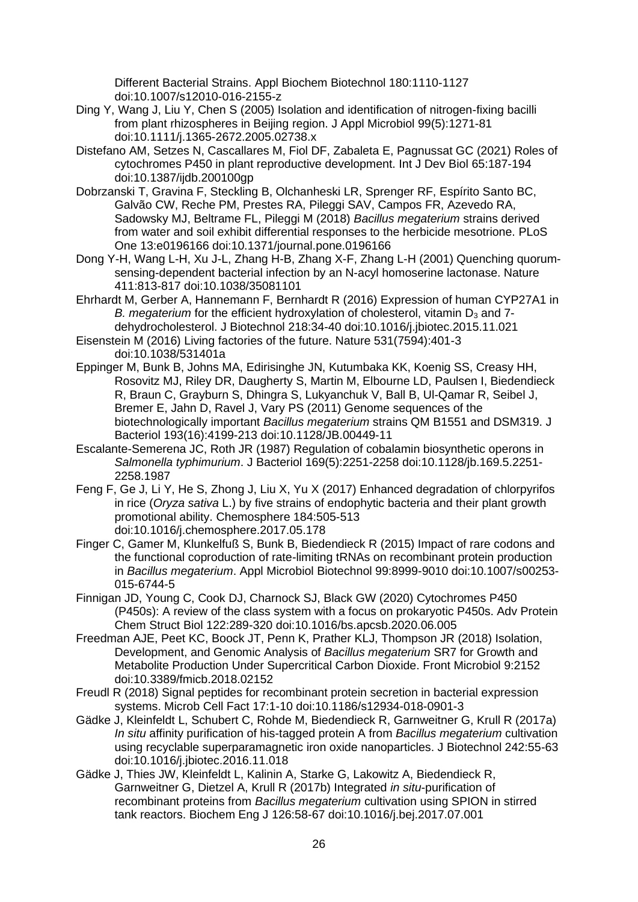Different Bacterial Strains. Appl Biochem Biotechnol 180:1110-1127 doi:10.1007/s12010-016-2155-z

- Ding Y, Wang J, Liu Y, Chen S (2005) Isolation and identification of nitrogen-fixing bacilli from plant rhizospheres in Beijing region. J Appl Microbiol 99(5):1271-81 doi:10.1111/j.1365-2672.2005.02738.x
- Distefano AM, Setzes N, Cascallares M, Fiol DF, Zabaleta E, Pagnussat GC (2021) Roles of cytochromes P450 in plant reproductive development. Int J Dev Biol 65:187-194 doi:10.1387/ijdb.200100gp
- Dobrzanski T, Gravina F, Steckling B, Olchanheski LR, Sprenger RF, Espírito Santo BC, Galvão CW, Reche PM, Prestes RA, Pileggi SAV, Campos FR, Azevedo RA, Sadowsky MJ, Beltrame FL, Pileggi M (2018) *Bacillus megaterium* strains derived from water and soil exhibit differential responses to the herbicide mesotrione. PLoS One 13:e0196166 doi:10.1371/journal.pone.0196166
- Dong Y-H, Wang L-H, Xu J-L, Zhang H-B, Zhang X-F, Zhang L-H (2001) Quenching quorumsensing-dependent bacterial infection by an N-acyl homoserine lactonase. Nature 411:813-817 doi:10.1038/35081101
- Ehrhardt M, Gerber A, Hannemann F, Bernhardt R (2016) Expression of human CYP27A1 in *B. megaterium* for the efficient hydroxylation of cholesterol, vitamin D<sub>3</sub> and 7dehydrocholesterol. J Biotechnol 218:34-40 doi:10.1016/j.jbiotec.2015.11.021
- Eisenstein M (2016) Living factories of the future. Nature 531(7594):401-3 doi:10.1038/531401a
- Eppinger M, Bunk B, Johns MA, Edirisinghe JN, Kutumbaka KK, Koenig SS, Creasy HH, Rosovitz MJ, Riley DR, Daugherty S, Martin M, Elbourne LD, Paulsen I, Biedendieck R, Braun C, Grayburn S, Dhingra S, Lukyanchuk V, Ball B, Ul-Qamar R, Seibel J, Bremer E, Jahn D, Ravel J, Vary PS (2011) Genome sequences of the biotechnologically important *Bacillus megaterium* strains QM B1551 and DSM319. J Bacteriol 193(16):4199-213 doi:10.1128/JB.00449-11
- Escalante-Semerena JC, Roth JR (1987) Regulation of cobalamin biosynthetic operons in *Salmonella typhimurium*. J Bacteriol 169(5):2251-2258 doi:10.1128/jb.169.5.2251- 2258.1987
- Feng F, Ge J, Li Y, He S, Zhong J, Liu X, Yu X (2017) Enhanced degradation of chlorpyrifos in rice (*Oryza sativa* L.) by five strains of endophytic bacteria and their plant growth promotional ability. Chemosphere 184:505-513 doi:10.1016/j.chemosphere.2017.05.178
- Finger C, Gamer M, Klunkelfuß S, Bunk B, Biedendieck R (2015) Impact of rare codons and the functional coproduction of rate-limiting tRNAs on recombinant protein production in *Bacillus megaterium*. Appl Microbiol Biotechnol 99:8999-9010 doi:10.1007/s00253- 015-6744-5
- Finnigan JD, Young C, Cook DJ, Charnock SJ, Black GW (2020) Cytochromes P450 (P450s): A review of the class system with a focus on prokaryotic P450s. Adv Protein Chem Struct Biol 122:289-320 doi:10.1016/bs.apcsb.2020.06.005
- Freedman AJE, Peet KC, Boock JT, Penn K, Prather KLJ, Thompson JR (2018) Isolation, Development, and Genomic Analysis of *Bacillus megaterium* SR7 for Growth and Metabolite Production Under Supercritical Carbon Dioxide. Front Microbiol 9:2152 doi:10.3389/fmicb.2018.02152
- Freudl R (2018) Signal peptides for recombinant protein secretion in bacterial expression systems. Microb Cell Fact 17:1-10 doi:10.1186/s12934-018-0901-3
- Gädke J, Kleinfeldt L, Schubert C, Rohde M, Biedendieck R, Garnweitner G, Krull R (2017a) *In situ* affinity purification of his-tagged protein A from *Bacillus megaterium* cultivation using recyclable superparamagnetic iron oxide nanoparticles. J Biotechnol 242:55-63 doi:10.1016/j.jbiotec.2016.11.018
- Gädke J, Thies JW, Kleinfeldt L, Kalinin A, Starke G, Lakowitz A, Biedendieck R, Garnweitner G, Dietzel A, Krull R (2017b) Integrated *in situ*-purification of recombinant proteins from *Bacillus megaterium* cultivation using SPION in stirred tank reactors. Biochem Eng J 126:58-67 doi:10.1016/j.bej.2017.07.001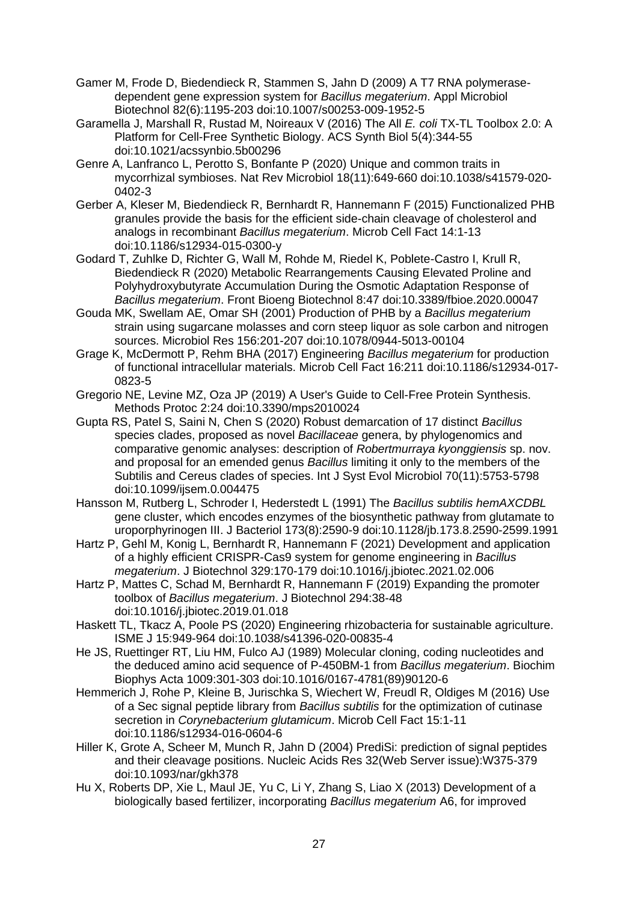- Gamer M, Frode D, Biedendieck R, Stammen S, Jahn D (2009) A T7 RNA polymerasedependent gene expression system for *Bacillus megaterium*. Appl Microbiol Biotechnol 82(6):1195-203 doi:10.1007/s00253-009-1952-5
- Garamella J, Marshall R, Rustad M, Noireaux V (2016) The All *E. coli* TX-TL Toolbox 2.0: A Platform for Cell-Free Synthetic Biology. ACS Synth Biol 5(4):344-55 doi:10.1021/acssynbio.5b00296
- Genre A, Lanfranco L, Perotto S, Bonfante P (2020) Unique and common traits in mycorrhizal symbioses. Nat Rev Microbiol 18(11):649-660 doi:10.1038/s41579-020- 0402-3
- Gerber A, Kleser M, Biedendieck R, Bernhardt R, Hannemann F (2015) Functionalized PHB granules provide the basis for the efficient side-chain cleavage of cholesterol and analogs in recombinant *Bacillus megaterium*. Microb Cell Fact 14:1-13 doi:10.1186/s12934-015-0300-y
- Godard T, Zuhlke D, Richter G, Wall M, Rohde M, Riedel K, Poblete-Castro I, Krull R, Biedendieck R (2020) Metabolic Rearrangements Causing Elevated Proline and Polyhydroxybutyrate Accumulation During the Osmotic Adaptation Response of *Bacillus megaterium*. Front Bioeng Biotechnol 8:47 doi:10.3389/fbioe.2020.00047
- Gouda MK, Swellam AE, Omar SH (2001) Production of PHB by a *Bacillus megaterium* strain using sugarcane molasses and corn steep liquor as sole carbon and nitrogen sources. Microbiol Res 156:201-207 doi:10.1078/0944-5013-00104
- Grage K, McDermott P, Rehm BHA (2017) Engineering *Bacillus megaterium* for production of functional intracellular materials. Microb Cell Fact 16:211 doi:10.1186/s12934-017- 0823-5
- Gregorio NE, Levine MZ, Oza JP (2019) A User's Guide to Cell-Free Protein Synthesis. Methods Protoc 2:24 doi:10.3390/mps2010024
- Gupta RS, Patel S, Saini N, Chen S (2020) Robust demarcation of 17 distinct *Bacillus*  species clades, proposed as novel *Bacillaceae* genera, by phylogenomics and comparative genomic analyses: description of *Robertmurraya kyonggiensis* sp. nov. and proposal for an emended genus *Bacillus* limiting it only to the members of the Subtilis and Cereus clades of species. Int J Syst Evol Microbiol 70(11):5753-5798 doi:10.1099/ijsem.0.004475
- Hansson M, Rutberg L, Schroder I, Hederstedt L (1991) The *Bacillus subtilis hemAXCDBL* gene cluster, which encodes enzymes of the biosynthetic pathway from glutamate to uroporphyrinogen III. J Bacteriol 173(8):2590-9 doi:10.1128/jb.173.8.2590-2599.1991
- Hartz P, Gehl M, Konig L, Bernhardt R, Hannemann F (2021) Development and application of a highly efficient CRISPR-Cas9 system for genome engineering in *Bacillus megaterium*. J Biotechnol 329:170-179 doi:10.1016/j.jbiotec.2021.02.006
- Hartz P, Mattes C, Schad M, Bernhardt R, Hannemann F (2019) Expanding the promoter toolbox of *Bacillus megaterium*. J Biotechnol 294:38-48 doi:10.1016/j.jbiotec.2019.01.018
- Haskett TL, Tkacz A, Poole PS (2020) Engineering rhizobacteria for sustainable agriculture. ISME J 15:949-964 doi:10.1038/s41396-020-00835-4
- He JS, Ruettinger RT, Liu HM, Fulco AJ (1989) Molecular cloning, coding nucleotides and the deduced amino acid sequence of P-450BM-1 from *Bacillus megaterium*. Biochim Biophys Acta 1009:301-303 doi:10.1016/0167-4781(89)90120-6
- Hemmerich J, Rohe P, Kleine B, Jurischka S, Wiechert W, Freudl R, Oldiges M (2016) Use of a Sec signal peptide library from *Bacillus subtilis* for the optimization of cutinase secretion in *Corynebacterium glutamicum*. Microb Cell Fact 15:1-11 doi:10.1186/s12934-016-0604-6
- Hiller K, Grote A, Scheer M, Munch R, Jahn D (2004) PrediSi: prediction of signal peptides and their cleavage positions. Nucleic Acids Res 32(Web Server issue):W375-379 doi:10.1093/nar/gkh378
- Hu X, Roberts DP, Xie L, Maul JE, Yu C, Li Y, Zhang S, Liao X (2013) Development of a biologically based fertilizer, incorporating *Bacillus megaterium* A6, for improved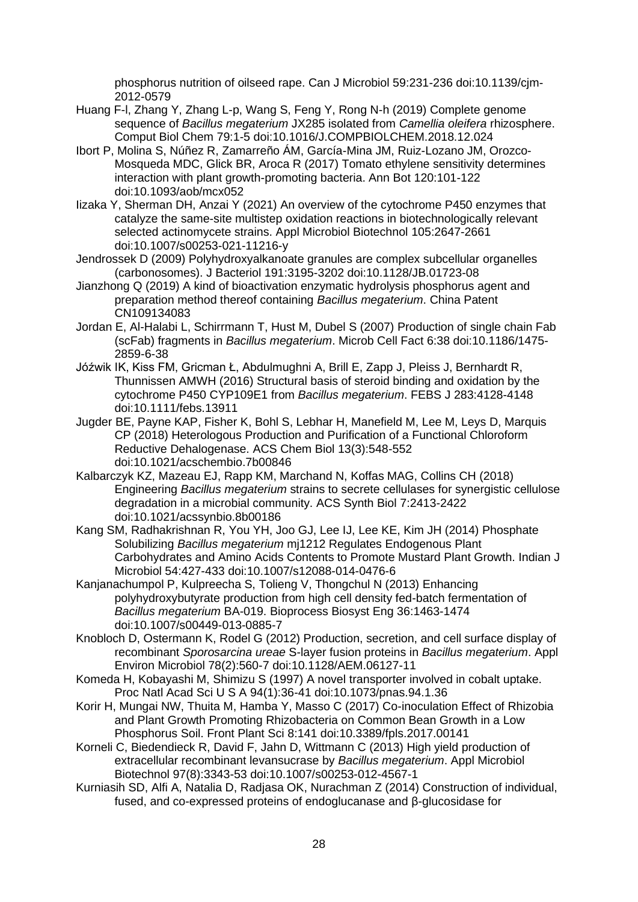phosphorus nutrition of oilseed rape. Can J Microbiol 59:231-236 doi:10.1139/cjm-2012-0579

- Huang F-l, Zhang Y, Zhang L-p, Wang S, Feng Y, Rong N-h (2019) Complete genome sequence of *Bacillus megaterium* JX285 isolated from *Camellia oleifera* rhizosphere. Comput Biol Chem 79:1-5 doi:10.1016/J.COMPBIOLCHEM.2018.12.024
- Ibort P, Molina S, Núñez R, Zamarreño ÁM, García-Mina JM, Ruiz-Lozano JM, Orozco-Mosqueda MDC, Glick BR, Aroca R (2017) Tomato ethylene sensitivity determines interaction with plant growth-promoting bacteria. Ann Bot 120:101-122 doi:10.1093/aob/mcx052
- Iizaka Y, Sherman DH, Anzai Y (2021) An overview of the cytochrome P450 enzymes that catalyze the same-site multistep oxidation reactions in biotechnologically relevant selected actinomycete strains. Appl Microbiol Biotechnol 105:2647-2661 doi:10.1007/s00253-021-11216-y
- Jendrossek D (2009) Polyhydroxyalkanoate granules are complex subcellular organelles (carbonosomes). J Bacteriol 191:3195-3202 doi:10.1128/JB.01723-08
- Jianzhong Q (2019) A kind of bioactivation enzymatic hydrolysis phosphorus agent and preparation method thereof containing *Bacillus megaterium*. China Patent CN109134083
- Jordan E, Al-Halabi L, Schirrmann T, Hust M, Dubel S (2007) Production of single chain Fab (scFab) fragments in *Bacillus megaterium*. Microb Cell Fact 6:38 doi:10.1186/1475- 2859-6-38
- Jóźwik IK, Kiss FM, Gricman Ł, Abdulmughni A, Brill E, Zapp J, Pleiss J, Bernhardt R, Thunnissen AMWH (2016) Structural basis of steroid binding and oxidation by the cytochrome P450 CYP109E1 from *Bacillus megaterium*. FEBS J 283:4128-4148 doi:10.1111/febs.13911
- Jugder BE, Payne KAP, Fisher K, Bohl S, Lebhar H, Manefield M, Lee M, Leys D, Marquis CP (2018) Heterologous Production and Purification of a Functional Chloroform Reductive Dehalogenase. ACS Chem Biol 13(3):548-552 doi:10.1021/acschembio.7b00846
- Kalbarczyk KZ, Mazeau EJ, Rapp KM, Marchand N, Koffas MAG, Collins CH (2018) Engineering *Bacillus megaterium* strains to secrete cellulases for synergistic cellulose degradation in a microbial community. ACS Synth Biol 7:2413-2422 doi:10.1021/acssynbio.8b00186
- Kang SM, Radhakrishnan R, You YH, Joo GJ, Lee IJ, Lee KE, Kim JH (2014) Phosphate Solubilizing *Bacillus megaterium* mj1212 Regulates Endogenous Plant Carbohydrates and Amino Acids Contents to Promote Mustard Plant Growth. Indian J Microbiol 54:427-433 doi:10.1007/s12088-014-0476-6
- Kanjanachumpol P, Kulpreecha S, Tolieng V, Thongchul N (2013) Enhancing polyhydroxybutyrate production from high cell density fed-batch fermentation of *Bacillus megaterium* BA-019. Bioprocess Biosyst Eng 36:1463-1474 doi:10.1007/s00449-013-0885-7
- Knobloch D, Ostermann K, Rodel G (2012) Production, secretion, and cell surface display of recombinant *Sporosarcina ureae* S-layer fusion proteins in *Bacillus megaterium*. Appl Environ Microbiol 78(2):560-7 doi:10.1128/AEM.06127-11
- Komeda H, Kobayashi M, Shimizu S (1997) A novel transporter involved in cobalt uptake. Proc Natl Acad Sci U S A 94(1):36-41 doi:10.1073/pnas.94.1.36
- Korir H, Mungai NW, Thuita M, Hamba Y, Masso C (2017) Co-inoculation Effect of Rhizobia and Plant Growth Promoting Rhizobacteria on Common Bean Growth in a Low Phosphorus Soil. Front Plant Sci 8:141 doi:10.3389/fpls.2017.00141
- Korneli C, Biedendieck R, David F, Jahn D, Wittmann C (2013) High yield production of extracellular recombinant levansucrase by *Bacillus megaterium*. Appl Microbiol Biotechnol 97(8):3343-53 doi:10.1007/s00253-012-4567-1
- Kurniasih SD, Alfi A, Natalia D, Radjasa OK, Nurachman Z (2014) Construction of individual, fused, and co-expressed proteins of endoglucanase and β-glucosidase for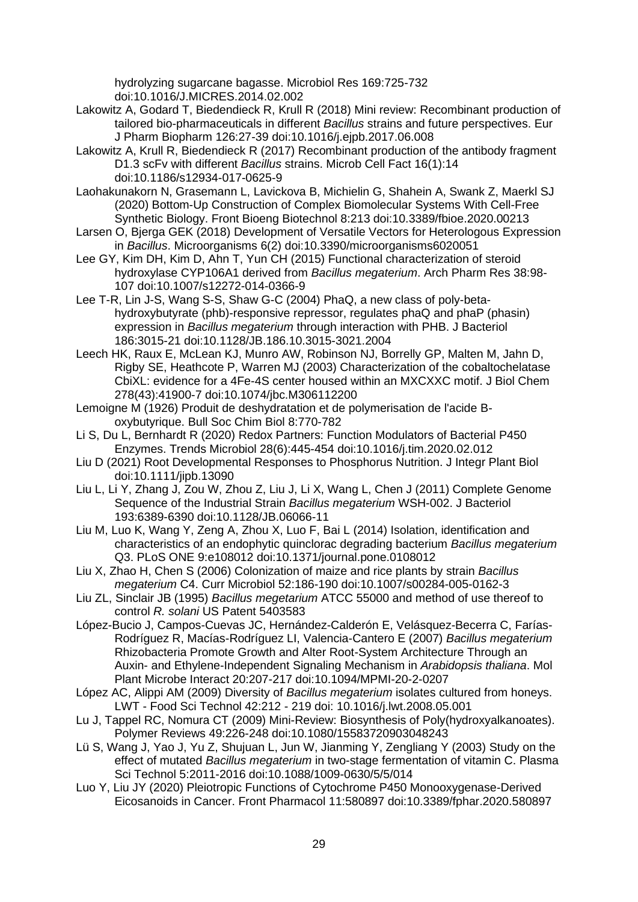hydrolyzing sugarcane bagasse. Microbiol Res 169:725-732 doi:10.1016/J.MICRES.2014.02.002

- Lakowitz A, Godard T, Biedendieck R, Krull R (2018) Mini review: Recombinant production of tailored bio-pharmaceuticals in different *Bacillus* strains and future perspectives. Eur J Pharm Biopharm 126:27-39 doi:10.1016/j.ejpb.2017.06.008
- Lakowitz A, Krull R, Biedendieck R (2017) Recombinant production of the antibody fragment D1.3 scFv with different *Bacillus* strains. Microb Cell Fact 16(1):14 doi:10.1186/s12934-017-0625-9
- Laohakunakorn N, Grasemann L, Lavickova B, Michielin G, Shahein A, Swank Z, Maerkl SJ (2020) Bottom-Up Construction of Complex Biomolecular Systems With Cell-Free Synthetic Biology. Front Bioeng Biotechnol 8:213 doi:10.3389/fbioe.2020.00213
- Larsen O, Bjerga GEK (2018) Development of Versatile Vectors for Heterologous Expression in *Bacillus*. Microorganisms 6(2) doi:10.3390/microorganisms6020051
- Lee GY, Kim DH, Kim D, Ahn T, Yun CH (2015) Functional characterization of steroid hydroxylase CYP106A1 derived from *Bacillus megaterium*. Arch Pharm Res 38:98- 107 doi:10.1007/s12272-014-0366-9
- Lee T-R, Lin J-S, Wang S-S, Shaw G-C (2004) PhaQ, a new class of poly-betahydroxybutyrate (phb)-responsive repressor, regulates phaQ and phaP (phasin) expression in *Bacillus megaterium* through interaction with PHB. J Bacteriol 186:3015-21 doi:10.1128/JB.186.10.3015-3021.2004
- Leech HK, Raux E, McLean KJ, Munro AW, Robinson NJ, Borrelly GP, Malten M, Jahn D, Rigby SE, Heathcote P, Warren MJ (2003) Characterization of the cobaltochelatase CbiXL: evidence for a 4Fe-4S center housed within an MXCXXC motif. J Biol Chem 278(43):41900-7 doi:10.1074/jbc.M306112200
- Lemoigne M (1926) Produit de deshydratation et de polymerisation de l'acide Boxybutyrique. Bull Soc Chim Biol 8:770-782
- Li S, Du L, Bernhardt R (2020) Redox Partners: Function Modulators of Bacterial P450 Enzymes. Trends Microbiol 28(6):445-454 doi:10.1016/j.tim.2020.02.012
- Liu D (2021) Root Developmental Responses to Phosphorus Nutrition. J Integr Plant Biol doi:10.1111/jipb.13090
- Liu L, Li Y, Zhang J, Zou W, Zhou Z, Liu J, Li X, Wang L, Chen J (2011) Complete Genome Sequence of the Industrial Strain *Bacillus megaterium* WSH-002. J Bacteriol 193:6389-6390 doi:10.1128/JB.06066-11
- Liu M, Luo K, Wang Y, Zeng A, Zhou X, Luo F, Bai L (2014) Isolation, identification and characteristics of an endophytic quinclorac degrading bacterium *Bacillus megaterium* Q3. PLoS ONE 9:e108012 doi:10.1371/journal.pone.0108012
- Liu X, Zhao H, Chen S (2006) Colonization of maize and rice plants by strain *Bacillus megaterium* C4. Curr Microbiol 52:186-190 doi:10.1007/s00284-005-0162-3
- Liu ZL, Sinclair JB (1995) *Bacillus megetarium* ATCC 55000 and method of use thereof to control *R. solani* US Patent 5403583
- López-Bucio J, Campos-Cuevas JC, Hernández-Calderón E, Velásquez-Becerra C, Farías-Rodríguez R, Macías-Rodríguez LI, Valencia-Cantero E (2007) *Bacillus megaterium* Rhizobacteria Promote Growth and Alter Root-System Architecture Through an Auxin- and Ethylene-Independent Signaling Mechanism in *Arabidopsis thaliana*. Mol Plant Microbe Interact 20:207-217 doi:10.1094/MPMI-20-2-0207
- López AC, Alippi AM (2009) Diversity of *Bacillus megaterium* isolates cultured from honeys. LWT - Food Sci Technol 42:212 - 219 doi: 10.1016/j.lwt.2008.05.001
- Lu J, Tappel RC, Nomura CT (2009) Mini-Review: Biosynthesis of Poly(hydroxyalkanoates). Polymer Reviews 49:226-248 doi:10.1080/15583720903048243
- Lü S, Wang J, Yao J, Yu Z, Shujuan L, Jun W, Jianming Y, Zengliang Y (2003) Study on the effect of mutated *Bacillus megaterium* in two-stage fermentation of vitamin C. Plasma Sci Technol 5:2011-2016 doi:10.1088/1009-0630/5/5/014
- Luo Y, Liu JY (2020) Pleiotropic Functions of Cytochrome P450 Monooxygenase-Derived Eicosanoids in Cancer. Front Pharmacol 11:580897 doi:10.3389/fphar.2020.580897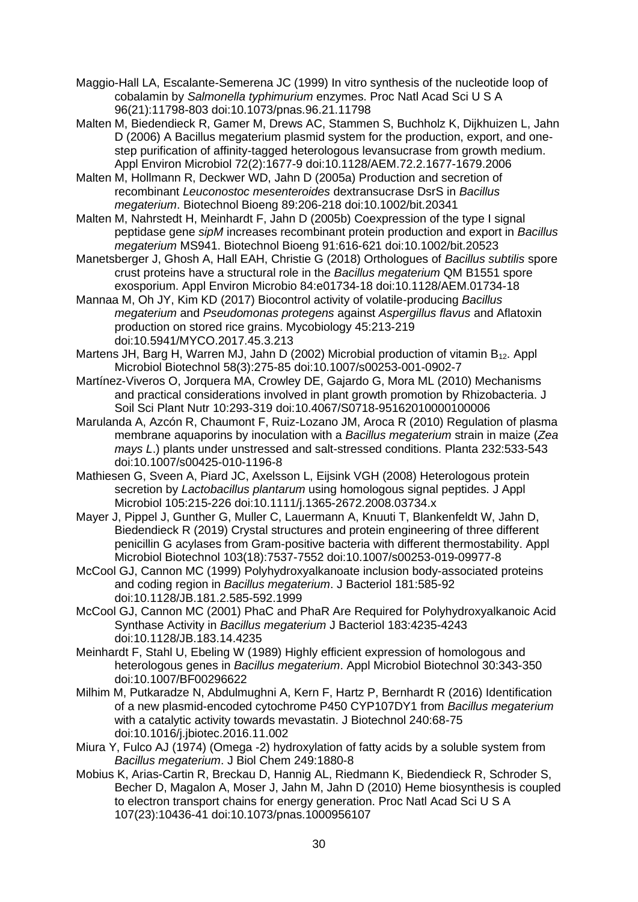- Maggio-Hall LA, Escalante-Semerena JC (1999) In vitro synthesis of the nucleotide loop of cobalamin by *Salmonella typhimurium* enzymes. Proc Natl Acad Sci U S A 96(21):11798-803 doi:10.1073/pnas.96.21.11798
- Malten M, Biedendieck R, Gamer M, Drews AC, Stammen S, Buchholz K, Dijkhuizen L, Jahn D (2006) A Bacillus megaterium plasmid system for the production, export, and onestep purification of affinity-tagged heterologous levansucrase from growth medium. Appl Environ Microbiol 72(2):1677-9 doi:10.1128/AEM.72.2.1677-1679.2006
- Malten M, Hollmann R, Deckwer WD, Jahn D (2005a) Production and secretion of recombinant *Leuconostoc mesenteroides* dextransucrase DsrS in *Bacillus megaterium*. Biotechnol Bioeng 89:206-218 doi:10.1002/bit.20341
- Malten M, Nahrstedt H, Meinhardt F, Jahn D (2005b) Coexpression of the type I signal peptidase gene *sipM* increases recombinant protein production and export in *Bacillus megaterium* MS941. Biotechnol Bioeng 91:616-621 doi:10.1002/bit.20523
- Manetsberger J, Ghosh A, Hall EAH, Christie G (2018) Orthologues of *Bacillus subtilis* spore crust proteins have a structural role in the *Bacillus megaterium* QM B1551 spore exosporium. Appl Environ Microbio 84:e01734-18 doi:10.1128/AEM.01734-18
- Mannaa M, Oh JY, Kim KD (2017) Biocontrol activity of volatile-producing *Bacillus megaterium* and *Pseudomonas protegens* against *Aspergillus flavus* and Aflatoxin production on stored rice grains. Mycobiology 45:213-219 doi:10.5941/MYCO.2017.45.3.213
- Martens JH, Barg H, Warren MJ, Jahn D (2002) Microbial production of vitamin  $B_{12}$ . Appl Microbiol Biotechnol 58(3):275-85 doi:10.1007/s00253-001-0902-7
- Martínez-Viveros O, Jorquera MA, Crowley DE, Gajardo G, Mora ML (2010) Mechanisms and practical considerations involved in plant growth promotion by Rhizobacteria. J Soil Sci Plant Nutr 10:293-319 doi:10.4067/S0718-95162010000100006
- Marulanda A, Azcón R, Chaumont F, Ruiz-Lozano JM, Aroca R (2010) Regulation of plasma membrane aquaporins by inoculation with a *Bacillus megaterium* strain in maize (*Zea mays L*.) plants under unstressed and salt-stressed conditions. Planta 232:533-543 doi:10.1007/s00425-010-1196-8
- Mathiesen G, Sveen A, Piard JC, Axelsson L, Eijsink VGH (2008) Heterologous protein secretion by *Lactobacillus plantarum* using homologous signal peptides. J Appl Microbiol 105:215-226 doi:10.1111/j.1365-2672.2008.03734.x
- Mayer J, Pippel J, Gunther G, Muller C, Lauermann A, Knuuti T, Blankenfeldt W, Jahn D, Biedendieck R (2019) Crystal structures and protein engineering of three different penicillin G acylases from Gram-positive bacteria with different thermostability. Appl Microbiol Biotechnol 103(18):7537-7552 doi:10.1007/s00253-019-09977-8
- McCool GJ, Cannon MC (1999) Polyhydroxyalkanoate inclusion body-associated proteins and coding region in *Bacillus megaterium*. J Bacteriol 181:585-92 doi:10.1128/JB.181.2.585-592.1999
- McCool GJ, Cannon MC (2001) PhaC and PhaR Are Required for Polyhydroxyalkanoic Acid Synthase Activity in *Bacillus megaterium* J Bacteriol 183:4235-4243 doi:10.1128/JB.183.14.4235
- Meinhardt F, Stahl U, Ebeling W (1989) Highly efficient expression of homologous and heterologous genes in *Bacillus megaterium*. Appl Microbiol Biotechnol 30:343-350 doi:10.1007/BF00296622
- Milhim M, Putkaradze N, Abdulmughni A, Kern F, Hartz P, Bernhardt R (2016) Identification of a new plasmid-encoded cytochrome P450 CYP107DY1 from *Bacillus megaterium* with a catalytic activity towards mevastatin. J Biotechnol 240:68-75 doi:10.1016/j.jbiotec.2016.11.002
- Miura Y, Fulco AJ (1974) (Omega -2) hydroxylation of fatty acids by a soluble system from *Bacillus megaterium*. J Biol Chem 249:1880-8
- Mobius K, Arias-Cartin R, Breckau D, Hannig AL, Riedmann K, Biedendieck R, Schroder S, Becher D, Magalon A, Moser J, Jahn M, Jahn D (2010) Heme biosynthesis is coupled to electron transport chains for energy generation. Proc Natl Acad Sci U S A 107(23):10436-41 doi:10.1073/pnas.1000956107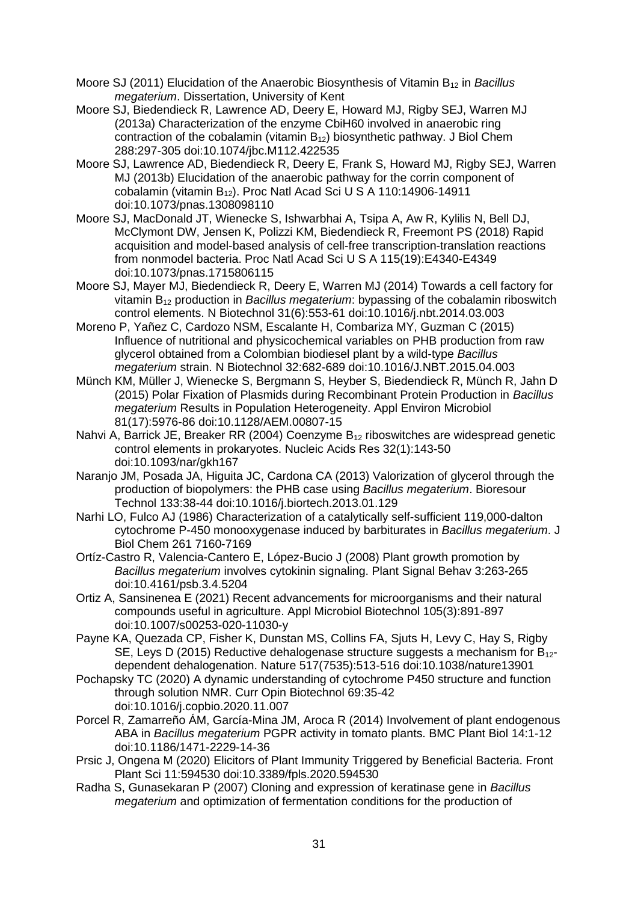- Moore SJ (2011) Elucidation of the Anaerobic Biosynthesis of Vitamin B<sup>12</sup> in *Bacillus megaterium*. Dissertation, University of Kent
- Moore SJ, Biedendieck R, Lawrence AD, Deery E, Howard MJ, Rigby SEJ, Warren MJ (2013a) Characterization of the enzyme CbiH60 involved in anaerobic ring contraction of the cobalamin (vitamin B12) biosynthetic pathway. J Biol Chem 288:297-305 doi:10.1074/jbc.M112.422535
- Moore SJ, Lawrence AD, Biedendieck R, Deery E, Frank S, Howard MJ, Rigby SEJ, Warren MJ (2013b) Elucidation of the anaerobic pathway for the corrin component of cobalamin (vitamin B12). Proc Natl Acad Sci U S A 110:14906-14911 doi:10.1073/pnas.1308098110
- Moore SJ, MacDonald JT, Wienecke S, Ishwarbhai A, Tsipa A, Aw R, Kylilis N, Bell DJ, McClymont DW, Jensen K, Polizzi KM, Biedendieck R, Freemont PS (2018) Rapid acquisition and model-based analysis of cell-free transcription-translation reactions from nonmodel bacteria. Proc Natl Acad Sci U S A 115(19):E4340-E4349 doi:10.1073/pnas.1715806115
- Moore SJ, Mayer MJ, Biedendieck R, Deery E, Warren MJ (2014) Towards a cell factory for vitamin B<sup>12</sup> production in *Bacillus megaterium*: bypassing of the cobalamin riboswitch control elements. N Biotechnol 31(6):553-61 doi:10.1016/j.nbt.2014.03.003
- Moreno P, Yañez C, Cardozo NSM, Escalante H, Combariza MY, Guzman C (2015) Influence of nutritional and physicochemical variables on PHB production from raw glycerol obtained from a Colombian biodiesel plant by a wild-type *Bacillus megaterium* strain. N Biotechnol 32:682-689 doi:10.1016/J.NBT.2015.04.003
- Münch KM, Müller J, Wienecke S, Bergmann S, Heyber S, Biedendieck R, Münch R, Jahn D (2015) Polar Fixation of Plasmids during Recombinant Protein Production in *Bacillus megaterium* Results in Population Heterogeneity. Appl Environ Microbiol 81(17):5976-86 doi:10.1128/AEM.00807-15
- Nahvi A, Barrick JE, Breaker RR (2004) Coenzyme  $B_{12}$  riboswitches are widespread genetic control elements in prokaryotes. Nucleic Acids Res 32(1):143-50 doi:10.1093/nar/gkh167
- Naranjo JM, Posada JA, Higuita JC, Cardona CA (2013) Valorization of glycerol through the production of biopolymers: the PHB case using *Bacillus megaterium*. Bioresour Technol 133:38-44 doi:10.1016/j.biortech.2013.01.129
- Narhi LO, Fulco AJ (1986) Characterization of a catalytically self-sufficient 119,000-dalton cytochrome P-450 monooxygenase induced by barbiturates in *Bacillus megaterium*. J Biol Chem 261 7160-7169
- Ortíz-Castro R, Valencia-Cantero E, López-Bucio J (2008) Plant growth promotion by *Bacillus megaterium* involves cytokinin signaling. Plant Signal Behav 3:263-265 doi:10.4161/psb.3.4.5204
- Ortiz A, Sansinenea E (2021) Recent advancements for microorganisms and their natural compounds useful in agriculture. Appl Microbiol Biotechnol 105(3):891-897 doi:10.1007/s00253-020-11030-y
- Payne KA, Quezada CP, Fisher K, Dunstan MS, Collins FA, Sjuts H, Levy C, Hay S, Rigby SE, Leys D (2015) Reductive dehalogenase structure suggests a mechanism for  $B_{12}$ dependent dehalogenation. Nature 517(7535):513-516 doi:10.1038/nature13901
- Pochapsky TC (2020) A dynamic understanding of cytochrome P450 structure and function through solution NMR. Curr Opin Biotechnol 69:35-42 doi:10.1016/j.copbio.2020.11.007
- Porcel R, Zamarreño ÁM, García-Mina JM, Aroca R (2014) Involvement of plant endogenous ABA in *Bacillus megaterium* PGPR activity in tomato plants. BMC Plant Biol 14:1-12 doi:10.1186/1471-2229-14-36
- Prsic J, Ongena M (2020) Elicitors of Plant Immunity Triggered by Beneficial Bacteria. Front Plant Sci 11:594530 doi:10.3389/fpls.2020.594530
- Radha S, Gunasekaran P (2007) Cloning and expression of keratinase gene in *Bacillus megaterium* and optimization of fermentation conditions for the production of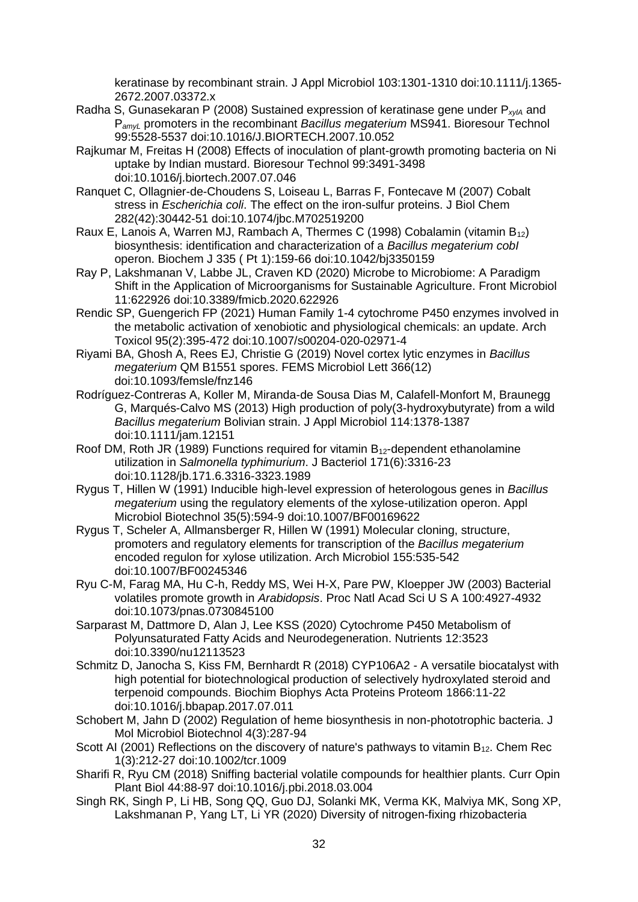keratinase by recombinant strain. J Appl Microbiol 103:1301-1310 doi:10.1111/j.1365- 2672.2007.03372.x

- Radha S, Gunasekaran P (2008) Sustained expression of keratinase gene under P<sub>xylA</sub> and P*amyL* promoters in the recombinant *Bacillus megaterium* MS941. Bioresour Technol 99:5528-5537 doi:10.1016/J.BIORTECH.2007.10.052
- Rajkumar M, Freitas H (2008) Effects of inoculation of plant-growth promoting bacteria on Ni uptake by Indian mustard. Bioresour Technol 99:3491-3498 doi:10.1016/j.biortech.2007.07.046
- Ranquet C, Ollagnier-de-Choudens S, Loiseau L, Barras F, Fontecave M (2007) Cobalt stress in *Escherichia coli*. The effect on the iron-sulfur proteins. J Biol Chem 282(42):30442-51 doi:10.1074/jbc.M702519200
- Raux E, Lanois A, Warren MJ, Rambach A, Thermes C (1998) Cobalamin (vitamin B12) biosynthesis: identification and characterization of a *Bacillus megaterium cobI* operon. Biochem J 335 ( Pt 1):159-66 doi:10.1042/bj3350159
- Ray P, Lakshmanan V, Labbe JL, Craven KD (2020) Microbe to Microbiome: A Paradigm Shift in the Application of Microorganisms for Sustainable Agriculture. Front Microbiol 11:622926 doi:10.3389/fmicb.2020.622926
- Rendic SP, Guengerich FP (2021) Human Family 1-4 cytochrome P450 enzymes involved in the metabolic activation of xenobiotic and physiological chemicals: an update. Arch Toxicol 95(2):395-472 doi:10.1007/s00204-020-02971-4
- Riyami BA, Ghosh A, Rees EJ, Christie G (2019) Novel cortex lytic enzymes in *Bacillus megaterium* QM B1551 spores. FEMS Microbiol Lett 366(12) doi:10.1093/femsle/fnz146
- Rodríguez-Contreras A, Koller M, Miranda-de Sousa Dias M, Calafell-Monfort M, Braunegg G, Marqués-Calvo MS (2013) High production of poly(3-hydroxybutyrate) from a wild *Bacillus megaterium* Bolivian strain. J Appl Microbiol 114:1378-1387 doi:10.1111/jam.12151
- Roof DM, Roth JR (1989) Functions required for vitamin B12-dependent ethanolamine utilization in *Salmonella typhimurium*. J Bacteriol 171(6):3316-23 doi:10.1128/jb.171.6.3316-3323.1989
- Rygus T, Hillen W (1991) Inducible high-level expression of heterologous genes in *Bacillus megaterium* using the regulatory elements of the xylose-utilization operon. Appl Microbiol Biotechnol 35(5):594-9 doi:10.1007/BF00169622
- Rygus T, Scheler A, Allmansberger R, Hillen W (1991) Molecular cloning, structure, promoters and regulatory elements for transcription of the *Bacillus megaterium* encoded regulon for xylose utilization. Arch Microbiol 155:535-542 doi:10.1007/BF00245346
- Ryu C-M, Farag MA, Hu C-h, Reddy MS, Wei H-X, Pare PW, Kloepper JW (2003) Bacterial volatiles promote growth in *Arabidopsis*. Proc Natl Acad Sci U S A 100:4927-4932 doi:10.1073/pnas.0730845100
- Sarparast M, Dattmore D, Alan J, Lee KSS (2020) Cytochrome P450 Metabolism of Polyunsaturated Fatty Acids and Neurodegeneration. Nutrients 12:3523 doi:10.3390/nu12113523
- Schmitz D, Janocha S, Kiss FM, Bernhardt R (2018) CYP106A2 A versatile biocatalyst with high potential for biotechnological production of selectively hydroxylated steroid and terpenoid compounds. Biochim Biophys Acta Proteins Proteom 1866:11-22 doi:10.1016/j.bbapap.2017.07.011
- Schobert M, Jahn D (2002) Regulation of heme biosynthesis in non-phototrophic bacteria. J Mol Microbiol Biotechnol 4(3):287-94
- Scott AI (2001) Reflections on the discovery of nature's pathways to vitamin  $B_{12}$ . Chem Rec 1(3):212-27 doi:10.1002/tcr.1009
- Sharifi R, Ryu CM (2018) Sniffing bacterial volatile compounds for healthier plants. Curr Opin Plant Biol 44:88-97 doi:10.1016/j.pbi.2018.03.004
- Singh RK, Singh P, Li HB, Song QQ, Guo DJ, Solanki MK, Verma KK, Malviya MK, Song XP, Lakshmanan P, Yang LT, Li YR (2020) Diversity of nitrogen-fixing rhizobacteria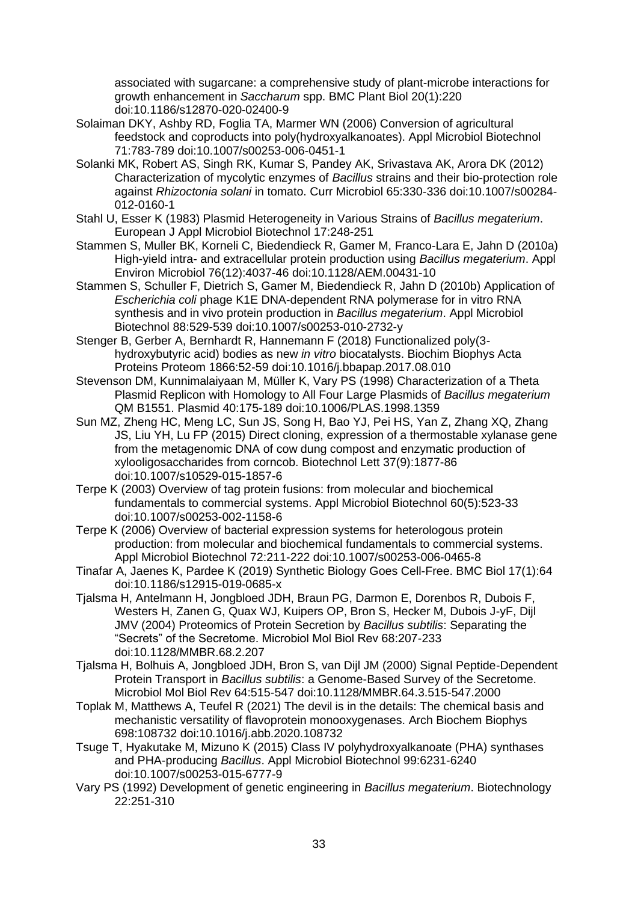associated with sugarcane: a comprehensive study of plant-microbe interactions for growth enhancement in *Saccharum* spp. BMC Plant Biol 20(1):220 doi:10.1186/s12870-020-02400-9

- Solaiman DKY, Ashby RD, Foglia TA, Marmer WN (2006) Conversion of agricultural feedstock and coproducts into poly(hydroxyalkanoates). Appl Microbiol Biotechnol 71:783-789 doi:10.1007/s00253-006-0451-1
- Solanki MK, Robert AS, Singh RK, Kumar S, Pandey AK, Srivastava AK, Arora DK (2012) Characterization of mycolytic enzymes of *Bacillus* strains and their bio-protection role against *Rhizoctonia solani* in tomato. Curr Microbiol 65:330-336 doi:10.1007/s00284- 012-0160-1
- Stahl U, Esser K (1983) Plasmid Heterogeneity in Various Strains of *Bacillus megaterium*. European J Appl Microbiol Biotechnol 17:248-251
- Stammen S, Muller BK, Korneli C, Biedendieck R, Gamer M, Franco-Lara E, Jahn D (2010a) High-yield intra- and extracellular protein production using *Bacillus megaterium*. Appl Environ Microbiol 76(12):4037-46 doi:10.1128/AEM.00431-10
- Stammen S, Schuller F, Dietrich S, Gamer M, Biedendieck R, Jahn D (2010b) Application of *Escherichia coli* phage K1E DNA-dependent RNA polymerase for in vitro RNA synthesis and in vivo protein production in *Bacillus megaterium*. Appl Microbiol Biotechnol 88:529-539 doi:10.1007/s00253-010-2732-y
- Stenger B, Gerber A, Bernhardt R, Hannemann F (2018) Functionalized poly(3 hydroxybutyric acid) bodies as new *in vitro* biocatalysts. Biochim Biophys Acta Proteins Proteom 1866:52-59 doi:10.1016/j.bbapap.2017.08.010
- Stevenson DM, Kunnimalaiyaan M, Müller K, Vary PS (1998) Characterization of a Theta Plasmid Replicon with Homology to All Four Large Plasmids of *Bacillus megaterium* QM B1551. Plasmid 40:175-189 doi:10.1006/PLAS.1998.1359
- Sun MZ, Zheng HC, Meng LC, Sun JS, Song H, Bao YJ, Pei HS, Yan Z, Zhang XQ, Zhang JS, Liu YH, Lu FP (2015) Direct cloning, expression of a thermostable xylanase gene from the metagenomic DNA of cow dung compost and enzymatic production of xylooligosaccharides from corncob. Biotechnol Lett 37(9):1877-86 doi:10.1007/s10529-015-1857-6
- Terpe K (2003) Overview of tag protein fusions: from molecular and biochemical fundamentals to commercial systems. Appl Microbiol Biotechnol 60(5):523-33 doi:10.1007/s00253-002-1158-6
- Terpe K (2006) Overview of bacterial expression systems for heterologous protein production: from molecular and biochemical fundamentals to commercial systems. Appl Microbiol Biotechnol 72:211-222 doi:10.1007/s00253-006-0465-8
- Tinafar A, Jaenes K, Pardee K (2019) Synthetic Biology Goes Cell-Free. BMC Biol 17(1):64 doi:10.1186/s12915-019-0685-x
- Tjalsma H, Antelmann H, Jongbloed JDH, Braun PG, Darmon E, Dorenbos R, Dubois F, Westers H, Zanen G, Quax WJ, Kuipers OP, Bron S, Hecker M, Dubois J-yF, Dijl JMV (2004) Proteomics of Protein Secretion by *Bacillus subtilis*: Separating the "Secrets" of the Secretome. Microbiol Mol Biol Rev 68:207-233 doi:10.1128/MMBR.68.2.207
- Tjalsma H, Bolhuis A, Jongbloed JDH, Bron S, van Dijl JM (2000) Signal Peptide-Dependent Protein Transport in *Bacillus subtilis*: a Genome-Based Survey of the Secretome. Microbiol Mol Biol Rev 64:515-547 doi:10.1128/MMBR.64.3.515-547.2000
- Toplak M, Matthews A, Teufel R (2021) The devil is in the details: The chemical basis and mechanistic versatility of flavoprotein monooxygenases. Arch Biochem Biophys 698:108732 doi:10.1016/j.abb.2020.108732
- Tsuge T, Hyakutake M, Mizuno K (2015) Class IV polyhydroxyalkanoate (PHA) synthases and PHA-producing *Bacillus*. Appl Microbiol Biotechnol 99:6231-6240 doi:10.1007/s00253-015-6777-9
- Vary PS (1992) Development of genetic engineering in *Bacillus megaterium*. Biotechnology 22:251-310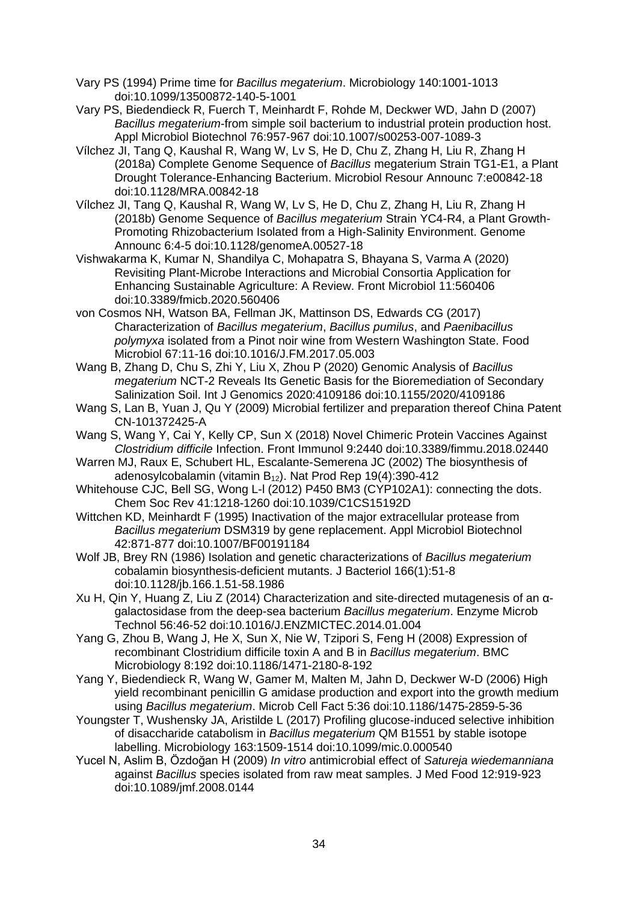- Vary PS (1994) Prime time for *Bacillus megaterium*. Microbiology 140:1001-1013 doi:10.1099/13500872-140-5-1001
- Vary PS, Biedendieck R, Fuerch T, Meinhardt F, Rohde M, Deckwer WD, Jahn D (2007) *Bacillus megaterium*-from simple soil bacterium to industrial protein production host. Appl Microbiol Biotechnol 76:957-967 doi:10.1007/s00253-007-1089-3
- Vílchez JI, Tang Q, Kaushal R, Wang W, Lv S, He D, Chu Z, Zhang H, Liu R, Zhang H (2018a) Complete Genome Sequence of *Bacillus* megaterium Strain TG1-E1, a Plant Drought Tolerance-Enhancing Bacterium. Microbiol Resour Announc 7:e00842-18 doi:10.1128/MRA.00842-18
- Vílchez JI, Tang Q, Kaushal R, Wang W, Lv S, He D, Chu Z, Zhang H, Liu R, Zhang H (2018b) Genome Sequence of *Bacillus megaterium* Strain YC4-R4, a Plant Growth-Promoting Rhizobacterium Isolated from a High-Salinity Environment. Genome Announc 6:4-5 doi:10.1128/genomeA.00527-18
- Vishwakarma K, Kumar N, Shandilya C, Mohapatra S, Bhayana S, Varma A (2020) Revisiting Plant-Microbe Interactions and Microbial Consortia Application for Enhancing Sustainable Agriculture: A Review. Front Microbiol 11:560406 doi:10.3389/fmicb.2020.560406
- von Cosmos NH, Watson BA, Fellman JK, Mattinson DS, Edwards CG (2017) Characterization of *Bacillus megaterium*, *Bacillus pumilus*, and *Paenibacillus polymyxa* isolated from a Pinot noir wine from Western Washington State. Food Microbiol 67:11-16 doi:10.1016/J.FM.2017.05.003
- Wang B, Zhang D, Chu S, Zhi Y, Liu X, Zhou P (2020) Genomic Analysis of *Bacillus megaterium* NCT-2 Reveals Its Genetic Basis for the Bioremediation of Secondary Salinization Soil. Int J Genomics 2020:4109186 doi:10.1155/2020/4109186
- Wang S, Lan B, Yuan J, Qu Y (2009) Microbial fertilizer and preparation thereof China Patent CN-101372425-A
- Wang S, Wang Y, Cai Y, Kelly CP, Sun X (2018) Novel Chimeric Protein Vaccines Against *Clostridium difficile* Infection. Front Immunol 9:2440 doi:10.3389/fimmu.2018.02440
- Warren MJ, Raux E, Schubert HL, Escalante-Semerena JC (2002) The biosynthesis of adenosylcobalamin (vitamin  $B_{12}$ ). Nat Prod Rep 19(4):390-412
- Whitehouse CJC, Bell SG, Wong L-l (2012) P450 BM3 (CYP102A1): connecting the dots. Chem Soc Rev 41:1218-1260 doi:10.1039/C1CS15192D
- Wittchen KD, Meinhardt F (1995) Inactivation of the major extracellular protease from *Bacillus megaterium* DSM319 by gene replacement. Appl Microbiol Biotechnol 42:871-877 doi:10.1007/BF00191184
- Wolf JB, Brey RN (1986) Isolation and genetic characterizations of *Bacillus megaterium* cobalamin biosynthesis-deficient mutants. J Bacteriol 166(1):51-8 doi:10.1128/jb.166.1.51-58.1986
- Xu H, Qin Y, Huang Z, Liu Z (2014) Characterization and site-directed mutagenesis of an αgalactosidase from the deep-sea bacterium *Bacillus megaterium*. Enzyme Microb Technol 56:46-52 doi:10.1016/J.ENZMICTEC.2014.01.004
- Yang G, Zhou B, Wang J, He X, Sun X, Nie W, Tzipori S, Feng H (2008) Expression of recombinant Clostridium difficile toxin A and B in *Bacillus megaterium*. BMC Microbiology 8:192 doi:10.1186/1471-2180-8-192
- Yang Y, Biedendieck R, Wang W, Gamer M, Malten M, Jahn D, Deckwer W-D (2006) High yield recombinant penicillin G amidase production and export into the growth medium using *Bacillus megaterium*. Microb Cell Fact 5:36 doi:10.1186/1475-2859-5-36
- Youngster T, Wushensky JA, Aristilde L (2017) Profiling glucose-induced selective inhibition of disaccharide catabolism in *Bacillus megaterium* QM B1551 by stable isotope labelling. Microbiology 163:1509-1514 doi:10.1099/mic.0.000540
- Yucel N, Aslim B, Özdoğan H (2009) *In vitro* antimicrobial effect of *Satureja wiedemanniana* against *Bacillus* species isolated from raw meat samples. J Med Food 12:919-923 doi:10.1089/jmf.2008.0144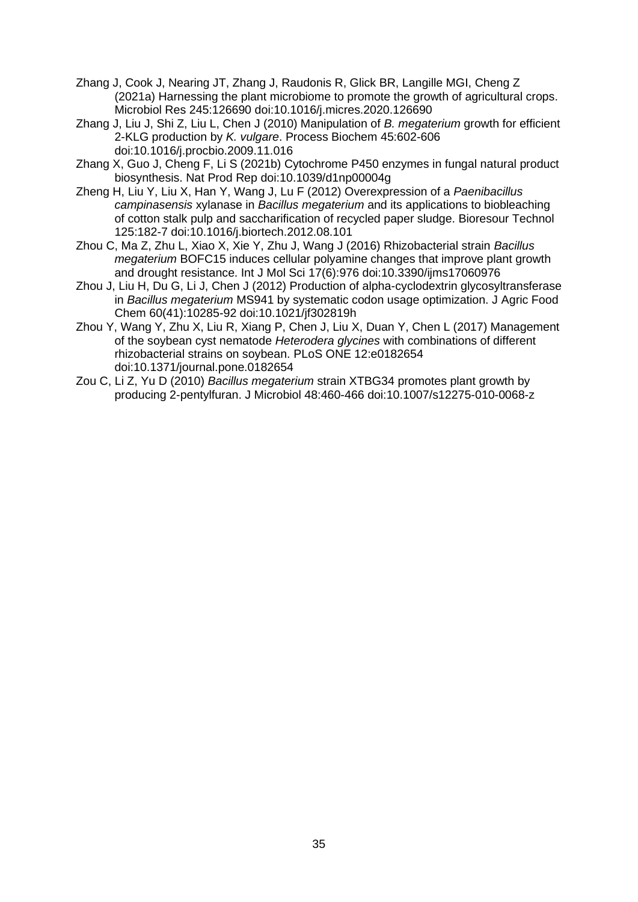- Zhang J, Cook J, Nearing JT, Zhang J, Raudonis R, Glick BR, Langille MGI, Cheng Z (2021a) Harnessing the plant microbiome to promote the growth of agricultural crops. Microbiol Res 245:126690 doi:10.1016/j.micres.2020.126690
- Zhang J, Liu J, Shi Z, Liu L, Chen J (2010) Manipulation of *B. megaterium* growth for efficient 2-KLG production by *K. vulgare*. Process Biochem 45:602-606 doi:10.1016/j.procbio.2009.11.016
- Zhang X, Guo J, Cheng F, Li S (2021b) Cytochrome P450 enzymes in fungal natural product biosynthesis. Nat Prod Rep doi:10.1039/d1np00004g
- Zheng H, Liu Y, Liu X, Han Y, Wang J, Lu F (2012) Overexpression of a *Paenibacillus campinasensis* xylanase in *Bacillus megaterium* and its applications to biobleaching of cotton stalk pulp and saccharification of recycled paper sludge. Bioresour Technol 125:182-7 doi:10.1016/j.biortech.2012.08.101
- Zhou C, Ma Z, Zhu L, Xiao X, Xie Y, Zhu J, Wang J (2016) Rhizobacterial strain *Bacillus megaterium* BOFC15 induces cellular polyamine changes that improve plant growth and drought resistance. Int J Mol Sci 17(6):976 doi:10.3390/ijms17060976
- Zhou J, Liu H, Du G, Li J, Chen J (2012) Production of alpha-cyclodextrin glycosyltransferase in *Bacillus megaterium* MS941 by systematic codon usage optimization. J Agric Food Chem 60(41):10285-92 doi:10.1021/jf302819h
- Zhou Y, Wang Y, Zhu X, Liu R, Xiang P, Chen J, Liu X, Duan Y, Chen L (2017) Management of the soybean cyst nematode *Heterodera glycines* with combinations of different rhizobacterial strains on soybean. PLoS ONE 12:e0182654 doi:10.1371/journal.pone.0182654
- Zou C, Li Z, Yu D (2010) *Bacillus megaterium* strain XTBG34 promotes plant growth by producing 2-pentylfuran. J Microbiol 48:460-466 doi:10.1007/s12275-010-0068-z